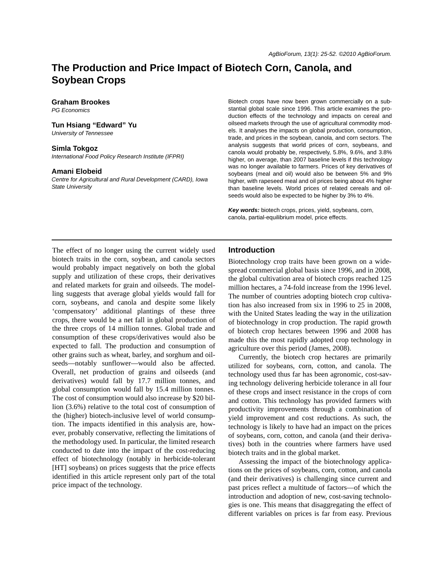# **The Production and Price Impact of Biotech Corn, Canola, and Soybean Crops**

#### **Graham Brookes**

*PG Economics*

## **Tun Hsiang "Edward" Yu**

*University of Tennessee*

#### **Simla Tokgoz**

*International Food Policy Research Institute (IFPRI)*

#### **Amani Elobeid**

*Centre for Agricultural and Rural Development (CARD), Iowa State University*

Biotech crops have now been grown commercially on a substantial global scale since 1996. This article examines the production effects of the technology and impacts on cereal and oilseed markets through the use of agricultural commodity models. It analyses the impacts on global production, consumption, trade, and prices in the soybean, canola, and corn sectors. The analysis suggests that world prices of corn, soybeans, and canola would probably be, respectively, 5.8%, 9.6%, and 3.8% higher, on average, than 2007 baseline levels if this technology was no longer available to farmers. Prices of key derivatives of soybeans (meal and oil) would also be between 5% and 9% higher, with rapeseed meal and oil prices being about 4% higher than baseline levels. World prices of related cereals and oilseeds would also be expected to be higher by 3% to 4%.

*Key words:* biotech crops, prices, yield, soybeans, corn, canola, partial-equilibrium model, price effects.

The effect of no longer using the current widely used biotech traits in the corn, soybean, and canola sectors would probably impact negatively on both the global supply and utilization of these crops, their derivatives and related markets for grain and oilseeds. The modelling suggests that average global yields would fall for corn, soybeans, and canola and despite some likely 'compensatory' additional plantings of these three crops, there would be a net fall in global production of the three crops of 14 million tonnes. Global trade and consumption of these crops/derivatives would also be expected to fall. The production and consumption of other grains such as wheat, barley, and sorghum and oilseeds—notably sunflower—would also be affected. Overall, net production of grains and oilseeds (and derivatives) would fall by 17.7 million tonnes, and global consumption would fall by 15.4 million tonnes. The cost of consumption would also increase by \$20 billion (3.6%) relative to the total cost of consumption of the (higher) biotech-inclusive level of world consumption. The impacts identified in this analysis are, however, probably conservative, reflecting the limitations of the methodology used. In particular, the limited research conducted to date into the impact of the cost-reducing effect of biotechnology (notably in herbicide-tolerant [HT] soybeans) on prices suggests that the price effects identified in this article represent only part of the total price impact of the technology.

## **Introduction**

Biotechnology crop traits have been grown on a widespread commercial global basis since 1996, and in 2008, the global cultivation area of biotech crops reached 125 million hectares, a 74-fold increase from the 1996 level. The number of countries adopting biotech crop cultivation has also increased from six in 1996 to 25 in 2008, with the United States leading the way in the utilization of biotechnology in crop production. The rapid growth of biotech crop hectares between 1996 and 2008 has made this the most rapidly adopted crop technology in agriculture over this period (James, 2008).

Currently, the biotech crop hectares are primarily utilized for soybeans, corn, cotton, and canola. The technology used thus far has been agronomic, cost-saving technology delivering herbicide tolerance in all four of these crops and insect resistance in the crops of corn and cotton. This technology has provided farmers with productivity improvements through a combination of yield improvement and cost reductions. As such, the technology is likely to have had an impact on the prices of soybeans, corn, cotton, and canola (and their derivatives) both in the countries where farmers have used biotech traits and in the global market.

Assessing the impact of the biotechnology applications on the prices of soybeans, corn, cotton, and canola (and their derivatives) is challenging since current and past prices reflect a multitude of factors—of which the introduction and adoption of new, cost-saving technologies is one. This means that disaggregating the effect of different variables on prices is far from easy. Previous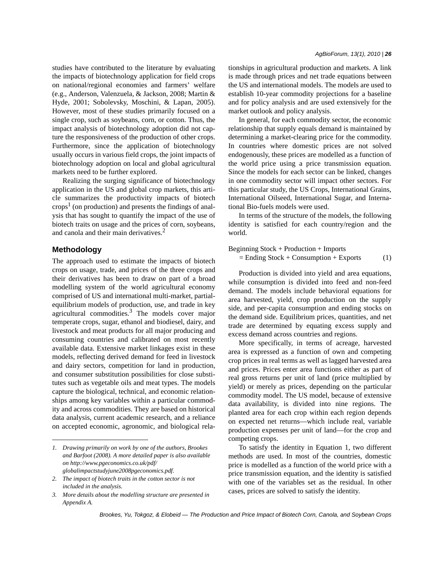studies have contributed to the literature by evaluating the impacts of biotechnology application for field crops on national/regional economies and farmers' welfare (e.g., Anderson, Valenzuela, & Jackson, 2008; Martin & Hyde, 2001; Sobolevsky, Moschini, & Lapan, 2005). However, most of these studies primarily focused on a single crop, such as soybeans, corn, or cotton. Thus, the impact analysis of biotechnology adoption did not capture the responsiveness of the production of other crops. Furthermore, since the application of biotechnology usually occurs in various field crops, the joint impacts of biotechnology adoption on local and global agricultural markets need to be further explored.

Realizing the surging significance of biotechnology application in the US and global crop markets, this article summarizes the productivity impacts of biotech  $\c{crops}^1$  (on production) and presents the findings of analysis that has sought to quantify the impact of the use of biotech traits on usage and the prices of corn, soybeans, and canola and their main derivatives.<sup>2</sup>

### **Methodology**

The approach used to estimate the impacts of biotech crops on usage, trade, and prices of the three crops and their derivatives has been to draw on part of a broad modelling system of the world agricultural economy comprised of US and international multi-market, partialequilibrium models of production, use, and trade in key agricultural commodities. $3$  The models cover major temperate crops, sugar, ethanol and biodiesel, dairy, and livestock and meat products for all major producing and consuming countries and calibrated on most recently available data. Extensive market linkages exist in these models, reflecting derived demand for feed in livestock and dairy sectors, competition for land in production, and consumer substitution possibilities for close substitutes such as vegetable oils and meat types. The models capture the biological, technical, and economic relationships among key variables within a particular commodity and across commodities. They are based on historical data analysis, current academic research, and a reliance on accepted economic, agronomic, and biological relationships in agricultural production and markets. A link is made through prices and net trade equations between the US and international models. The models are used to establish 10-year commodity projections for a baseline and for policy analysis and are used extensively for the market outlook and policy analysis.

In general, for each commodity sector, the economic relationship that supply equals demand is maintained by determining a market-clearing price for the commodity. In countries where domestic prices are not solved endogenously, these prices are modelled as a function of the world price using a price transmission equation. Since the models for each sector can be linked, changes in one commodity sector will impact other sectors. For this particular study, the US Crops, International Grains, International Oilseed, International Sugar, and International Bio-fuels models were used.

In terms of the structure of the models, the following identity is satisfied for each country/region and the world.

## Beginning Stock + Production + Imports

 $=$  Ending Stock + Consumption + Exports (1)

Production is divided into yield and area equations, while consumption is divided into feed and non-feed demand. The models include behavioral equations for area harvested, yield, crop production on the supply side, and per-capita consumption and ending stocks on the demand side. Equilibrium prices, quantities, and net trade are determined by equating excess supply and excess demand across countries and regions.

More specifically, in terms of acreage, harvested area is expressed as a function of own and competing crop prices in real terms as well as lagged harvested area and prices. Prices enter area functions either as part of real gross returns per unit of land (price multiplied by yield) or merely as prices, depending on the particular commodity model. The US model, because of extensive data availability, is divided into nine regions. The planted area for each crop within each region depends on expected net returns—which include real, variable production expenses per unit of land—for the crop and competing crops.

To satisfy the identity in Equation 1, two different methods are used. In most of the countries, domestic price is modelled as a function of the world price with a price transmission equation, and the identity is satisfied with one of the variables set as the residual. In other cases, prices are solved to satisfy the identity.

*<sup>1.</sup> Drawing primarily on work by one of the authors, Brookes and Barfoot (2008). A more detailed paper is also available on http://www.pgeconomics.co.uk/pdf/ globalimpactstudyjune2008pgeconomics.pdf.*

*<sup>2.</sup> The impact of biotech traits in the cotton sector is not included in the analysis.*

*<sup>3.</sup> More details about the modelling structure are presented in Appendix A.*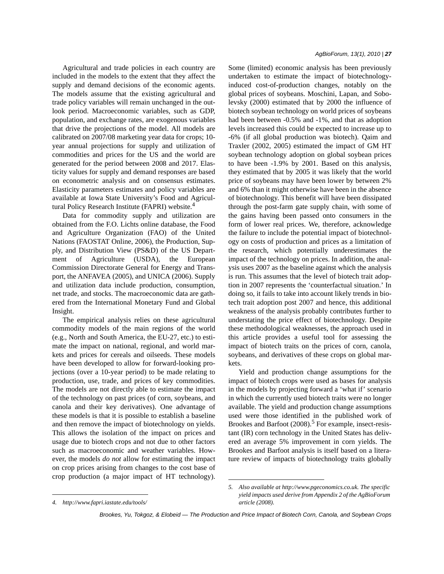Agricultural and trade policies in each country are included in the models to the extent that they affect the supply and demand decisions of the economic agents. The models assume that the existing agricultural and trade policy variables will remain unchanged in the outlook period. Macroeconomic variables, such as GDP, population, and exchange rates, are exogenous variables that drive the projections of the model. All models are calibrated on 2007/08 marketing year data for crops; 10 year annual projections for supply and utilization of commodities and prices for the US and the world are generated for the period between 2008 and 2017. Elasticity values for supply and demand responses are based on econometric analysis and on consensus estimates. Elasticity parameters estimates and policy variables are available at Iowa State University's Food and Agricultural Policy Research Institute (FAPRI) website.<sup>4</sup>

Data for commodity supply and utilization are obtained from the F.O. Lichts online database, the Food and Agriculture Organization (FAO) of the United Nations (FAOSTAT Online, 2006), the Production, Supply, and Distribution View (PS&D) of the US Department of Agriculture (USDA), the European Commission Directorate General for Energy and Transport, the ANFAVEA (2005), and UNICA (2006). Supply and utilization data include production, consumption, net trade, and stocks. The macroeconomic data are gathered from the International Monetary Fund and Global Insight.

The empirical analysis relies on these agricultural commodity models of the main regions of the world (e.g., North and South America, the EU-27, etc.) to estimate the impact on national, regional, and world markets and prices for cereals and oilseeds. These models have been developed to allow for forward-looking projections (over a 10-year period) to be made relating to production, use, trade, and prices of key commodities. The models are not directly able to estimate the impact of the technology on past prices (of corn, soybeans, and canola and their key derivatives). One advantage of these models is that it is possible to establish a baseline and then remove the impact of biotechnology on yields. This allows the isolation of the impact on prices and usage due to biotech crops and not due to other factors such as macroeconomic and weather variables. However, the models *do not* allow for estimating the impact on crop prices arising from changes to the cost base of crop production (a major impact of HT technology).

Some (limited) economic analysis has been previously undertaken to estimate the impact of biotechnologyinduced cost-of-production changes, notably on the global prices of soybeans. Moschini, Lapan, and Sobolevsky (2000) estimated that by 2000 the influence of biotech soybean technology on world prices of soybeans had been between -0.5% and -1%, and that as adoption levels increased this could be expected to increase up to -6% (if all global production was biotech). Qaim and Traxler (2002, 2005) estimated the impact of GM HT soybean technology adoption on global soybean prices to have been -1.9% by 2001. Based on this analysis, they estimated that by 2005 it was likely that the world price of soybeans may have been lower by between 2% and 6% than it might otherwise have been in the absence of biotechnology. This benefit will have been dissipated through the post-farm gate supply chain, with some of the gains having been passed onto consumers in the form of lower real prices. We, therefore, acknowledge the failure to include the potential impact of biotechnology on costs of production and prices as a limitation of the research, which potentially underestimates the impact of the technology on prices. In addition, the analysis uses 2007 as the baseline against which the analysis is run. This assumes that the level of biotech trait adoption in 2007 represents the 'counterfactual situation.' In doing so, it fails to take into account likely trends in biotech trait adoption post 2007 and hence, this additional weakness of the analysis probably contributes further to understating the price effect of biotechnology. Despite these methodological weaknesses, the approach used in this article provides a useful tool for assessing the impact of biotech traits on the prices of corn, canola, soybeans, and derivatives of these crops on global markets.

Yield and production change assumptions for the impact of biotech crops were used as bases for analysis in the models by projecting forward a 'what if' scenario in which the currently used biotech traits were no longer available. The yield and production change assumptions used were those identified in the published work of Brookes and Barfoot  $(2008)$ .<sup>5</sup> For example, insect-resistant (IR) corn technology in the United States has delivered an average 5% improvement in corn yields. The Brookes and Barfoot analysis is itself based on a literature review of impacts of biotechnology traits globally

*<sup>4.</sup> http://www.fapri.iastate.edu/tools/*

*<sup>5.</sup> Also available at http://www.pgeconomics.co.uk. The specific yield impacts used derive from Appendix 2 of the AgBioForum article (2008).*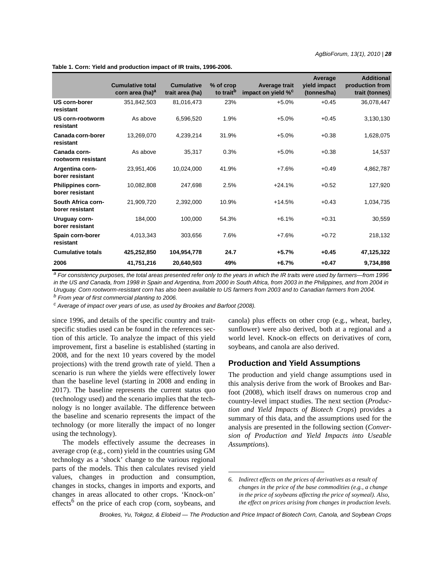|                                       | <b>Cumulative total</b><br>corn area (ha) <sup>a</sup> | <b>Cumulative</b><br>trait area (ha) | % of crop<br>to trait <sup>b</sup> | Average trait<br>impact on yield % <sup>c</sup> | Average<br>yield impact<br>(tonnes/ha) | <b>Additional</b><br>production from<br>trait (tonnes) |
|---------------------------------------|--------------------------------------------------------|--------------------------------------|------------------------------------|-------------------------------------------------|----------------------------------------|--------------------------------------------------------|
| US corn-borer<br>resistant            | 351,842,503                                            | 81,016,473                           | 23%                                | $+5.0%$                                         | $+0.45$                                | 36,078,447                                             |
| US corn-rootworm<br>resistant         | As above                                               | 6,596,520                            | 1.9%                               | $+5.0%$                                         | $+0.45$                                | 3,130,130                                              |
| Canada corn-borer<br>resistant        | 13,269,070                                             | 4,239,214                            | 31.9%                              | $+5.0%$                                         | $+0.38$                                | 1,628,075                                              |
| Canada corn-<br>rootworm resistant    | As above                                               | 35,317                               | 0.3%                               | $+5.0%$                                         | $+0.38$                                | 14,537                                                 |
| Argentina corn-<br>borer resistant    | 23,951,406                                             | 10,024,000                           | 41.9%                              | $+7.6%$                                         | $+0.49$                                | 4,862,787                                              |
| Philippines corn-<br>borer resistant  | 10,082,808                                             | 247,698                              | 2.5%                               | $+24.1%$                                        | $+0.52$                                | 127,920                                                |
| South Africa corn-<br>borer resistant | 21,909,720                                             | 2,392,000                            | 10.9%                              | $+14.5%$                                        | $+0.43$                                | 1,034,735                                              |
| Uruguay corn-<br>borer resistant      | 184,000                                                | 100,000                              | 54.3%                              | $+6.1%$                                         | $+0.31$                                | 30,559                                                 |
| Spain corn-borer<br>resistant         | 4,013,343                                              | 303,656                              | 7.6%                               | $+7.6%$                                         | $+0.72$                                | 218,132                                                |
| <b>Cumulative totals</b>              | 425,252,850                                            | 104,954,778                          | 24.7                               | $+5.7%$                                         | $+0.45$                                | 47,125,322                                             |
| 2006                                  | 41,751,216                                             | 20,640,503                           | 49%                                | $+6.7%$                                         | $+0.47$                                | 9,734,898                                              |

**Table 1. Corn: Yield and production impact of IR traits, 1996-2006.**

*a For consistency purposes, the total areas presented refer only to the years in which the IR traits were used by farmers—from 1996 in the US and Canada, from 1998 in Spain and Argentina, from 2000 in South Africa, from 2003 in the Philippines, and from 2004 in Uruguay. Corn rootworm-resistant corn has also been available to US farmers from 2003 and to Canadian farmers from 2004.*

*b From year of first commercial planting to 2006.*

*c Average of impact over years of use, as used by Brookes and Barfoot (2008).*

since 1996, and details of the specific country and traitspecific studies used can be found in the references section of this article. To analyze the impact of this yield improvement, first a baseline is established (starting in 2008, and for the next 10 years covered by the model projections) with the trend growth rate of yield. Then a scenario is run where the yields were effectively lower than the baseline level (starting in 2008 and ending in 2017). The baseline represents the current status quo (technology used) and the scenario implies that the technology is no longer available. The difference between the baseline and scenario represents the impact of the technology (or more literally the impact of no longer using the technology).

The models effectively assume the decreases in average crop (e.g., corn) yield in the countries using GM technology as a 'shock' change to the various regional parts of the models. This then calculates revised yield values, changes in production and consumption, changes in stocks, changes in imports and exports, and changes in areas allocated to other crops. 'Knock-on' effects<sup>6</sup> on the price of each crop (corn, soybeans, and

canola) plus effects on other crop (e.g., wheat, barley, sunflower) were also derived, both at a regional and a world level. Knock-on effects on derivatives of corn, soybeans, and canola are also derived.

## **Production and Yield Assumptions**

The production and yield change assumptions used in this analysis derive from the work of Brookes and Barfoot (2008), which itself draws on numerous crop and country-level impact studies. The next section (*Production and Yield Impacts of Biotech Crops*) provides a summary of this data, and the assumptions used for the analysis are presented in the following section (*Conversion of Production and Yield Impacts into Useable Assumptions*).

*<sup>6.</sup> Indirect effects on the prices of derivatives as a result of changes in the price of the base commodities (e.g., a change in the price of soybeans affecting the price of soymeal). Also, the effect on prices arising from changes in production levels.*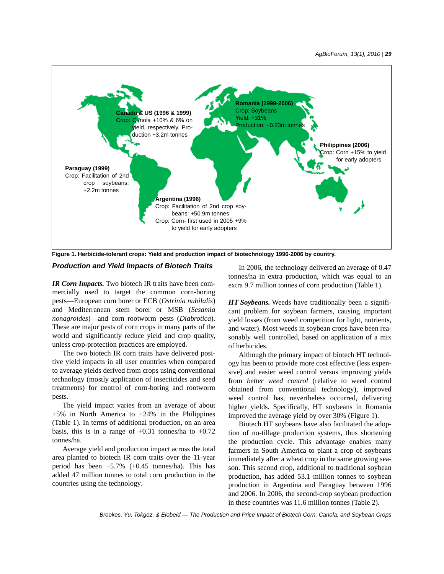

**Figure 1. Herbicide-tolerant crops: Yield and production impact of biotechnology 1996-2006 by country.**

## *Production and Yield Impacts of Biotech Traits*

*IR Corn Impacts.* Two biotech IR traits have been commercially used to target the common corn-boring pests—European corn borer or ECB (*Ostrinia nubilalis*) and Mediterranean stem borer or MSB (*Sesamia nonagroides*)—and corn rootworm pests (*Diabrotica*). These are major pests of corn crops in many parts of the world and significantly reduce yield and crop quality, unless crop-protection practices are employed.

The two biotech IR corn traits have delivered positive yield impacts in all user countries when compared to average yields derived from crops using conventional technology (mostly application of insecticides and seed treatments) for control of corn-boring and rootworm pests.

The yield impact varies from an average of about  $+5\%$  in North America to  $+24\%$  in the Philippines (Table 1). In terms of additional production, on an area basis, this is in a range of  $+0.31$  tonnes/ha to  $+0.72$ tonnes/ha.

Average yield and production impact across the total area planted to biotech IR corn traits over the 11-year period has been +5.7% (+0.45 tonnes/ha). This has added 47 million tonnes to total corn production in the countries using the technology.

In 2006, the technology delivered an average of 0.47 tonnes/ha in extra production, which was equal to an extra 9.7 million tonnes of corn production (Table 1).

*HT Soybeans.* Weeds have traditionally been a significant problem for soybean farmers, causing important yield losses (from weed competition for light, nutrients, and water). Most weeds in soybean crops have been reasonably well controlled, based on application of a mix of herbicides.

Although the primary impact of biotech HT technology has been to provide more cost effective (less expensive) and easier weed control versus improving yields from *better weed control* (relative to weed control obtained from conventional technology), improved weed control has, nevertheless occurred, delivering higher yields. Specifically, HT soybeans in Romania improved the average yield by over 30% (Figure 1).

Biotech HT soybeans have also facilitated the adoption of no-tillage production systems, thus shortening the production cycle. This advantage enables many farmers in South America to plant a crop of soybeans immediately after a wheat crop in the same growing season. This second crop, additional to traditional soybean production, has added 53.1 million tonnes to soybean production in Argentina and Paraguay between 1996 and 2006. In 2006, the second-crop soybean production in these countries was 11.6 million tonnes (Table 2).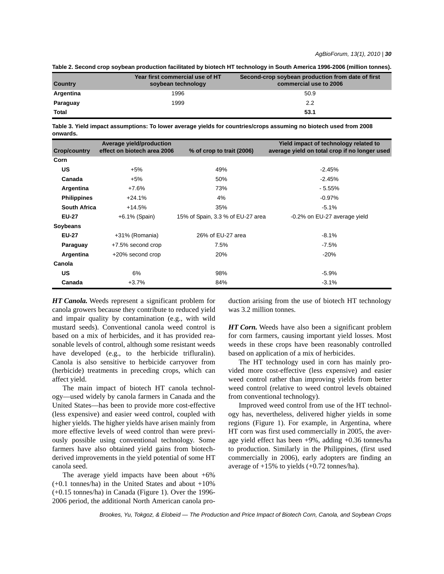|  |  |  |  | Table 2. Second crop soybean production facilitated by biotech HT technology in South America 1996-2006 (million tonnes). |
|--|--|--|--|---------------------------------------------------------------------------------------------------------------------------|
|--|--|--|--|---------------------------------------------------------------------------------------------------------------------------|

| <b>Country</b> | Year first commercial use of HT<br>soybean technology | Second-crop soybean production from date of first<br>commercial use to 2006 |
|----------------|-------------------------------------------------------|-----------------------------------------------------------------------------|
| Argentina      | 1996                                                  | 50.9                                                                        |
| Paraguay       | 1999                                                  | 2.2                                                                         |
| <b>Total</b>   |                                                       | 53.1                                                                        |

**Table 3. Yield impact assumptions: To lower average yields for countries/crops assuming no biotech used from 2008 onwards.**

| <b>Crop/country</b> | Average yield/production<br>effect on biotech area 2006 | % of crop to trait (2006)         | Yield impact of technology related to<br>average yield on total crop if no longer used |
|---------------------|---------------------------------------------------------|-----------------------------------|----------------------------------------------------------------------------------------|
| Corn                |                                                         |                                   |                                                                                        |
| US                  | $+5%$                                                   | 49%                               | $-2.45%$                                                                               |
| Canada              | $+5%$                                                   | 50%                               | $-2.45%$                                                                               |
| Argentina           | $+7.6%$                                                 | 73%                               | $-5.55%$                                                                               |
| <b>Philippines</b>  | $+24.1%$                                                | 4%                                | $-0.97%$                                                                               |
| <b>South Africa</b> | $+14.5%$                                                | 35%                               | $-5.1%$                                                                                |
| <b>EU-27</b>        | $+6.1\%$ (Spain)                                        | 15% of Spain, 3.3 % of EU-27 area | -0.2% on EU-27 average yield                                                           |
| Soybeans            |                                                         |                                   |                                                                                        |
| <b>EU-27</b>        | +31% (Romania)                                          | 26% of EU-27 area                 | $-8.1\%$                                                                               |
| Paraguay            | +7.5% second crop                                       | 7.5%                              | $-7.5%$                                                                                |
| Argentina           | +20% second crop                                        | 20%                               | $-20%$                                                                                 |
| Canola              |                                                         |                                   |                                                                                        |
| US                  | 6%                                                      | 98%                               | $-5.9%$                                                                                |
| Canada              | $+3.7%$                                                 | 84%                               | $-3.1%$                                                                                |

*HT Canola.* Weeds represent a significant problem for canola growers because they contribute to reduced yield and impair quality by contamination (e.g., with wild mustard seeds). Conventional canola weed control is based on a mix of herbicides, and it has provided reasonable levels of control, although some resistant weeds have developed (e.g., to the herbicide trifluralin). Canola is also sensitive to herbicide carryover from (herbicide) treatments in preceding crops, which can affect yield.

The main impact of biotech HT canola technology—used widely by canola farmers in Canada and the United States—has been to provide more cost-effective (less expensive) and easier weed control, coupled with higher yields. The higher yields have arisen mainly from more effective levels of weed control than were previously possible using conventional technology. Some farmers have also obtained yield gains from biotechderived improvements in the yield potential of some HT canola seed.

The average yield impacts have been about  $+6\%$ (+0.1 tonnes/ha) in the United States and about +10% (+0.15 tonnes/ha) in Canada (Figure 1). Over the 1996- 2006 period, the additional North American canola production arising from the use of biotech HT technology was 3.2 million tonnes.

*HT Corn.* Weeds have also been a significant problem for corn farmers, causing important yield losses. Most weeds in these crops have been reasonably controlled based on application of a mix of herbicides.

The HT technology used in corn has mainly provided more cost-effective (less expensive) and easier weed control rather than improving yields from better weed control (relative to weed control levels obtained from conventional technology).

Improved weed control from use of the HT technology has, nevertheless, delivered higher yields in some regions (Figure 1). For example, in Argentina, where HT corn was first used commercially in 2005, the average yield effect has been +9%, adding +0.36 tonnes/ha to production. Similarly in the Philippines, (first used commercially in 2006), early adopters are finding an average of +15% to yields (+0.72 tonnes/ha).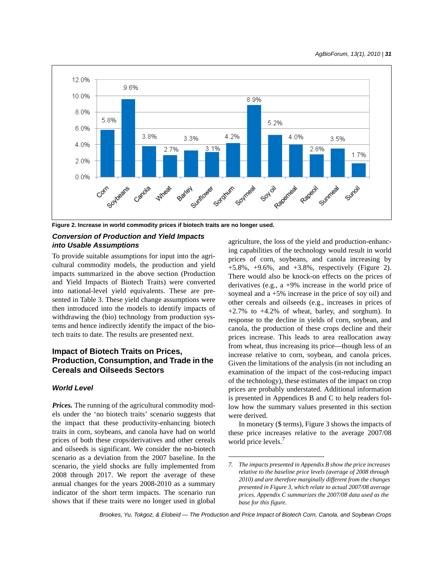

**Figure 2. Increase in world commodity prices if biotech traits are no longer used.**

## *Conversion of Production and Yield Impacts into Usable Assumptions*

To provide suitable assumptions for input into the agricultural commodity models, the production and yield impacts summarized in the above section (Production and Yield Impacts of Biotech Traits) were converted into national-level yield equivalents. These are presented in Table 3. These yield change assumptions were then introduced into the models to identify impacts of withdrawing the (bio) technology from production systems and hence indirectly identify the impact of the biotech traits to date. The results are presented next.

## **Impact of Biotech Traits on Prices, Production, Consumption, and Trade in the Cereals and Oilseeds Sectors**

## *World Level*

*Prices.* The running of the agricultural commodity models under the 'no biotech traits' scenario suggests that the impact that these productivity-enhancing biotech traits in corn, soybeans, and canola have had on world prices of both these crops/derivatives and other cereals and oilseeds is significant. We consider the no-biotech scenario as a deviation from the 2007 baseline. In the scenario, the yield shocks are fully implemented from 2008 through 2017. We report the average of these annual changes for the years 2008-2010 as a summary indicator of the short term impacts. The scenario run shows that if these traits were no longer used in global

agriculture, the loss of the yield and production-enhancing capabilities of the technology would result in world prices of corn, soybeans, and canola increasing by  $+5.8\%$ ,  $+9.6\%$ , and  $+3.8\%$ , respectively (Figure 2). There would also be knock-on effects on the prices of derivatives (e.g., a +9% increase in the world price of soymeal and a +5% increase in the price of soy oil) and other cereals and oilseeds (e.g., increases in prices of +2.7% to +4.2% of wheat, barley, and sorghum). In response to the decline in yields of corn, soybean, and canola, the production of these crops decline and their prices increase. This leads to area reallocation away from wheat, thus increasing its price—though less of an increase relative to corn, soybean, and canola prices. Given the limitations of the analysis (in not including an examination of the impact of the cost-reducing impact of the technology), these estimates of the impact on crop prices are probably understated. Additional information is presented in Appendices B and C to help readers follow how the summary values presented in this section were derived.

In monetary (\$ terms), Figure 3 shows the impacts of these price increases relative to the average 2007/08 world price levels.<sup>7</sup>

*<sup>7.</sup> The impacts presented in Appendix B show the price increases relative to the baseline price levels (average of 2008 through 2010) and are therefore marginally different from the changes presented in Figure 3, which relate to actual 2007/08 average prices. Appendix C summarizes the 2007/08 data used as the base for this figure.*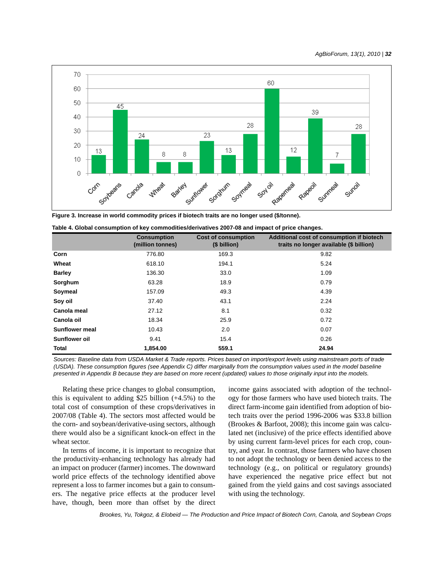

**Figure 3. Increase in world commodity prices if biotech traits are no longer used (\$/tonne).**

|                       | <b>Consumption</b><br>(million tonnes) | <b>Cost of consumption</b><br>(\$ billion) | Additional cost of consumption if biotech<br>traits no longer available (\$ billion) |
|-----------------------|----------------------------------------|--------------------------------------------|--------------------------------------------------------------------------------------|
| Corn                  | 776.80                                 | 169.3                                      | 9.82                                                                                 |
| Wheat                 | 618.10                                 | 194.1                                      | 5.24                                                                                 |
| <b>Barley</b>         | 136.30                                 | 33.0                                       | 1.09                                                                                 |
| Sorghum               | 63.28                                  | 18.9                                       | 0.79                                                                                 |
| Soymeal               | 157.09                                 | 49.3                                       | 4.39                                                                                 |
| Soy oil               | 37.40                                  | 43.1                                       | 2.24                                                                                 |
| Canola meal           | 27.12                                  | 8.1                                        | 0.32                                                                                 |
| Canola oil            | 18.34                                  | 25.9                                       | 0.72                                                                                 |
| <b>Sunflower meal</b> | 10.43                                  | 2.0                                        | 0.07                                                                                 |
| Sunflower oil         | 9.41                                   | 15.4                                       | 0.26                                                                                 |
| Total                 | 1.854.00                               | 559.1                                      | 24.94                                                                                |

|  | Table 4. Global consumption of key commodities/derivatives 2007-08 and impact of price changes. |  |  |
|--|-------------------------------------------------------------------------------------------------|--|--|
|--|-------------------------------------------------------------------------------------------------|--|--|

*Sources: Baseline data from USDA Market & Trade reports. Prices based on import/export levels using mainstream ports of trade (USDA). These consumption figures (see Appendix C) differ marginally from the consumption values used in the model baseline presented in Appendix B because they are based on more recent (updated) values to those originally input into the models.*

Relating these price changes to global consumption, this is equivalent to adding  $$25$  billion  $(+4.5%)$  to the total cost of consumption of these crops/derivatives in 2007/08 (Table 4). The sectors most affected would be the corn- and soybean/derivative-using sectors, although there would also be a significant knock-on effect in the wheat sector.

In terms of income, it is important to recognize that the productivity-enhancing technology has already had an impact on producer (farmer) incomes. The downward world price effects of the technology identified above represent a loss to farmer incomes but a gain to consumers. The negative price effects at the producer level have, though, been more than offset by the direct income gains associated with adoption of the technology for those farmers who have used biotech traits. The direct farm-income gain identified from adoption of biotech traits over the period 1996-2006 was \$33.8 billion (Brookes & Barfoot, 2008); this income gain was calculated net (inclusive) of the price effects identified above by using current farm-level prices for each crop, country, and year. In contrast, those farmers who have chosen to not adopt the technology or been denied access to the technology (e.g., on political or regulatory grounds) have experienced the negative price effect but not gained from the yield gains and cost savings associated with using the technology.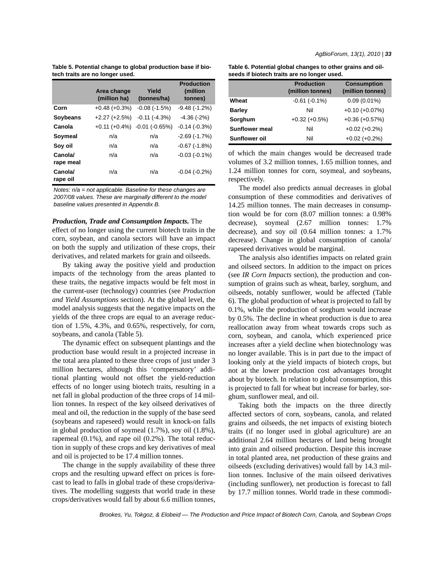**Table 5. Potential change to global production base if biotech traits are no longer used.**

|                      | Area change<br>(million ha) | Yield<br>(tonnes/ha) | <b>Production</b><br>(million<br>tonnes) |
|----------------------|-----------------------------|----------------------|------------------------------------------|
| Corn                 | $+0.48 (+0.3%)$             | $-0.08(-1.5%)$       | $-9.48(-1.2%)$                           |
| <b>Soybeans</b>      | $+2.27 (+2.5%)$             | $-0.11$ ( $-4.3\%$ ) | $-4.36(-2%)$                             |
| Canola               | $+0.11 (+0.4%)$             | $-0.01$ $(-0.65%)$   | $-0.14(-0.3%)$                           |
| Soymeal              | n/a                         | n/a                  | $-2.69(-1.7%)$                           |
| Soy oil              | n/a                         | n/a                  | $-0.67$ ( $-1.8\%$ )                     |
| Canola/<br>rape meal | n/a                         | n/a                  | $-0.03(-0.1\%)$                          |
| Canola/<br>rape oil  | n/a                         | n/a                  | $-0.04(-0.2%)$                           |

*Notes: n/a = not applicable. Baseline for these changes are 2007/08 values. These are marginally different to the model baseline values presented in Appendix B.*

#### *Production, Trade and Consumption Impacts.* The

effect of no longer using the current biotech traits in the corn, soybean, and canola sectors will have an impact on both the supply and utilization of these crops, their derivatives, and related markets for grain and oilseeds.

By taking away the positive yield and production impacts of the technology from the areas planted to these traits, the negative impacts would be felt most in the current-user (technology) countries (see *Production and Yield Assumptions* section). At the global level, the model analysis suggests that the negative impacts on the yields of the three crops are equal to an average reduction of 1.5%, 4.3%, and 0.65%, respectively, for corn, soybeans, and canola (Table 5).

The dynamic effect on subsequent plantings and the production base would result in a projected increase in the total area planted to these three crops of just under 3 million hectares, although this 'compensatory' additional planting would not offset the yield-reduction effects of no longer using biotech traits, resulting in a net fall in global production of the three crops of 14 million tonnes. In respect of the key oilseed derivatives of meal and oil, the reduction in the supply of the base seed (soybeans and rapeseed) would result in knock-on falls in global production of soymeal (1.7%), soy oil (1.8%), rapemeal (0.1%), and rape oil (0.2%). The total reduction in supply of these crops and key derivatives of meal and oil is projected to be 17.4 million tonnes.

The change in the supply availability of these three crops and the resulting upward effect on prices is forecast to lead to falls in global trade of these crops/derivatives. The modelling suggests that world trade in these crops/derivatives would fall by about 6.6 million tonnes,

| Table 6. Potential global changes to other grains and oil- |  |
|------------------------------------------------------------|--|
| seeds if biotech traits are no longer used.                |  |

|                       | <b>Production</b><br>(million tonnes) | <b>Consumption</b><br>(million tonnes) |
|-----------------------|---------------------------------------|----------------------------------------|
| Wheat                 | $-0.61(-0.1\%)$                       | $0.09(0.01\%)$                         |
| <b>Barley</b>         | Nil                                   | $+0.10 (+0.07%)$                       |
| Sorghum               | $+0.32 (+0.5%)$                       | $+0.36 (+0.57%)$                       |
| <b>Sunflower meal</b> | Nil                                   | $+0.02 (+0.2%)$                        |
| Sunflower oil         | Nil                                   | $+0.02 (+0.2%)$                        |

of which the main changes would be decreased trade volumes of 3.2 million tonnes, 1.65 million tonnes, and 1.24 million tonnes for corn, soymeal, and soybeans, respectively.

The model also predicts annual decreases in global consumption of these commodities and derivatives of 14.25 million tonnes. The main decreases in consumption would be for corn (8.07 million tonnes: a 0.98% decrease), soymeal (2.67 million tonnes: 1.7% decrease), and soy oil (0.64 million tonnes: a 1.7% decrease). Change in global consumption of canola/ rapeseed derivatives would be marginal.

The analysis also identifies impacts on related grain and oilseed sectors. In addition to the impact on prices (see *IR Corn Impacts* section), the production and consumption of grains such as wheat, barley, sorghum, and oilseeds, notably sunflower, would be affected (Table 6). The global production of wheat is projected to fall by 0.1%, while the production of sorghum would increase by 0.5%. The decline in wheat production is due to area reallocation away from wheat towards crops such as corn, soybean, and canola, which experienced price increases after a yield decline when biotechnology was no longer available. This is in part due to the impact of looking only at the yield impacts of biotech crops, but not at the lower production cost advantages brought about by biotech. In relation to global consumption, this is projected to fall for wheat but increase for barley, sorghum, sunflower meal, and oil.

Taking both the impacts on the three directly affected sectors of corn, soybeans, canola, and related grains and oilseeds, the net impacts of existing biotech traits (if no longer used in global agriculture) are an additional 2.64 million hectares of land being brought into grain and oilseed production. Despite this increase in total planted area, net production of these grains and oilseeds (excluding derivatives) would fall by 14.3 million tonnes. Inclusive of the main oilseed derivatives (including sunflower), net production is forecast to fall by 17.7 million tonnes. World trade in these commodi-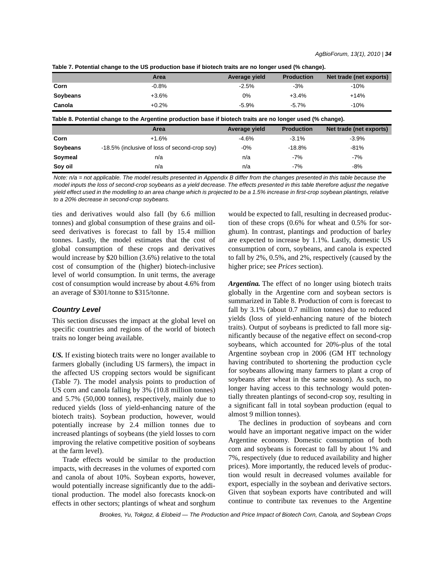| Table 7. Potential change to the US production base if biotech traits are no longer used (% change). |
|------------------------------------------------------------------------------------------------------|
|------------------------------------------------------------------------------------------------------|

|          | Area                                                                                                                | Average yield | <b>Production</b> | Net trade (net exports) |
|----------|---------------------------------------------------------------------------------------------------------------------|---------------|-------------------|-------------------------|
| Corn     | $-0.8%$                                                                                                             | $-2.5%$       | $-3%$             | $-10%$                  |
| Soybeans | $+3.6%$                                                                                                             | 0%            | $+3.4%$           | $+14%$                  |
| Canola   | $+0.2%$                                                                                                             | $-5.9\%$      | $-5.7\%$          | $-10%$                  |
|          | Table 8. Potential change to the Argentine production base if biotech traits are no longer used (% change).<br>Area | Average yield | <b>Production</b> | Net trade (net exports) |
|          |                                                                                                                     |               |                   |                         |
| Corn     | $+1.6%$                                                                                                             | $-4.6%$       | $-3.1%$           | $-3.9%$                 |
| Soybeans | -18.5% (inclusive of loss of second-crop soy)                                                                       | $-0\%$        | $-18.8%$          | $-81%$                  |
| Soymeal  | n/a                                                                                                                 | n/a           | $-7%$             | -7%                     |
| Soy oil  | n/a                                                                                                                 | n/a           | $-7%$             | $-8%$                   |

*Note: n/a = not applicable. The model results presented in Appendix B differ from the changes presented in this table because the model inputs the loss of second-crop soybeans as a yield decrease. The effects presented in this table therefore adjust the negative yield effect used in the modelling to an area change which is projected to be a 1.5% increase in first-crop soybean plantings, relative to a 20% decrease in second-crop soybeans.*

ties and derivatives would also fall (by 6.6 million tonnes) and global consumption of these grains and oilseed derivatives is forecast to fall by 15.4 million tonnes. Lastly, the model estimates that the cost of global consumption of these crops and derivatives would increase by \$20 billion (3.6%) relative to the total cost of consumption of the (higher) biotech-inclusive level of world consumption. In unit terms, the average cost of consumption would increase by about 4.6% from an average of \$301/tonne to \$315/tonne.

### *Country Level*

This section discusses the impact at the global level on specific countries and regions of the world of biotech traits no longer being available.

*US.* If existing biotech traits were no longer available to farmers globally (including US farmers), the impact in the affected US cropping sectors would be significant (Table 7). The model analysis points to production of US corn and canola falling by 3% (10.8 million tonnes) and 5.7% (50,000 tonnes), respectively, mainly due to reduced yields (loss of yield-enhancing nature of the biotech traits). Soybean production, however, would potentially increase by 2.4 million tonnes due to increased plantings of soybeans (the yield losses to corn improving the relative competitive position of soybeans at the farm level).

Trade effects would be similar to the production impacts, with decreases in the volumes of exported corn and canola of about 10%. Soybean exports, however, would potentially increase significantly due to the additional production. The model also forecasts knock-on effects in other sectors; plantings of wheat and sorghum would be expected to fall, resulting in decreased production of these crops (0.6% for wheat and 0.5% for sorghum). In contrast, plantings and production of barley are expected to increase by 1.1%. Lastly, domestic US consumption of corn, soybeans, and canola is expected to fall by 2%, 0.5%, and 2%, respectively (caused by the higher price; see *Prices* section).

*Argentina.* The effect of no longer using biotech traits globally in the Argentine corn and soybean sectors is summarized in Table 8. Production of corn is forecast to fall by 3.1% (about 0.7 million tonnes) due to reduced yields (loss of yield-enhancing nature of the biotech traits). Output of soybeans is predicted to fall more significantly because of the negative effect on second-crop soybeans, which accounted for 20%-plus of the total Argentine soybean crop in 2006 (GM HT technology having contributed to shortening the production cycle for soybeans allowing many farmers to plant a crop of soybeans after wheat in the same season). As such, no longer having access to this technology would potentially threaten plantings of second-crop soy, resulting in a significant fall in total soybean production (equal to almost 9 million tonnes).

The declines in production of soybeans and corn would have an important negative impact on the wider Argentine economy. Domestic consumption of both corn and soybeans is forecast to fall by about 1% and 7%, respectively (due to reduced availability and higher prices). More importantly, the reduced levels of production would result in decreased volumes available for export, especially in the soybean and derivative sectors. Given that soybean exports have contributed and will continue to contribute tax revenues to the Argentine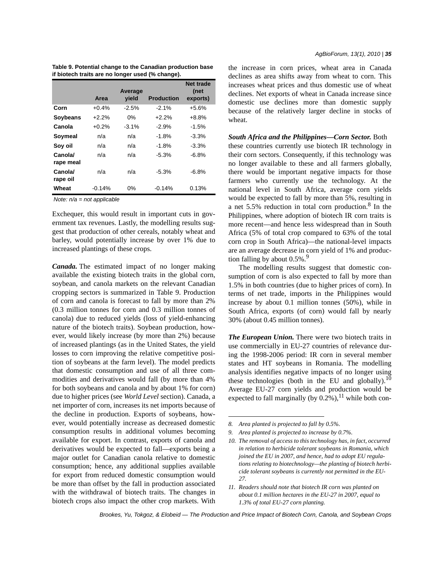| Table 9. Potential change to the Canadian production base |  |
|-----------------------------------------------------------|--|
| if biotech traits are no longer used (% change).          |  |

|                     | Area     | Average<br>yield | <b>Production</b> | Net trade<br>(net<br>exports) |
|---------------------|----------|------------------|-------------------|-------------------------------|
| Corn                | $+0.4%$  | $-2.5%$          | $-2.1%$           | $+5.6%$                       |
| <b>Soybeans</b>     | $+2.2%$  | $0\%$            | $+2.2%$           | $+8.8%$                       |
| Canola              | $+0.2%$  | $-3.1\%$         | $-2.9%$           | $-1.5%$                       |
| Soymeal             | n/a      | n/a              | $-1.8%$           | $-3.3%$                       |
| Soy oil             | n/a      | n/a              | $-1.8%$           | $-3.3\%$                      |
| Canola/             | n/a      | n/a              | $-5.3%$           | $-6.8%$                       |
| rape meal           |          |                  |                   |                               |
| Canola/<br>rape oil | n/a      | n/a              | $-5.3%$           | $-6.8%$                       |
| Wheat               | $-0.14%$ | 0%               | $-0.14%$          | 0.13%                         |

*Note: n/a = not applicable*

Exchequer, this would result in important cuts in government tax revenues. Lastly, the modelling results suggest that production of other cereals, notably wheat and barley, would potentially increase by over 1% due to increased plantings of these crops.

*Canada.* The estimated impact of no longer making available the existing biotech traits in the global corn, soybean, and canola markets on the relevant Canadian cropping sectors is summarized in Table 9. Production of corn and canola is forecast to fall by more than 2% (0.3 million tonnes for corn and 0.3 million tonnes of canola) due to reduced yields (loss of yield-enhancing nature of the biotech traits). Soybean production, however, would likely increase (by more than 2%) because of increased plantings (as in the United States, the yield losses to corn improving the relative competitive position of soybeans at the farm level). The model predicts that domestic consumption and use of all three commodities and derivatives would fall (by more than 4% for both soybeans and canola and by about 1% for corn) due to higher prices (see *World Level* section). Canada, a net importer of corn, increases its net imports because of the decline in production. Exports of soybeans, however, would potentially increase as decreased domestic consumption results in additional volumes becoming available for export. In contrast, exports of canola and derivatives would be expected to fall—exports being a major outlet for Canadian canola relative to domestic consumption; hence, any additional supplies available for export from reduced domestic consumption would be more than offset by the fall in production associated with the withdrawal of biotech traits. The changes in biotech crops also impact the other crop markets. With

the increase in corn prices, wheat area in Canada declines as area shifts away from wheat to corn. This increases wheat prices and thus domestic use of wheat declines. Net exports of wheat in Canada increase since domestic use declines more than domestic supply because of the relatively larger decline in stocks of wheat.

*South Africa and the Philippines—Corn Sector.* Both

these countries currently use biotech IR technology in their corn sectors. Consequently, if this technology was no longer available to these and all farmers globally, there would be important negative impacts for those farmers who currently use the technology. At the national level in South Africa, average corn yields would be expected to fall by more than 5%, resulting in a net 5.5% reduction in total corn production. $8 \text{ In the}$ Philippines, where adoption of biotech IR corn traits is more recent—and hence less widespread than in South Africa (5% of total crop compared to 63% of the total corn crop in South Africa)—the national-level impacts are an average decrease in corn yield of 1% and production falling by about  $0.5\%$ .<sup>9</sup>

The modelling results suggest that domestic consumption of corn is also expected to fall by more than 1.5% in both countries (due to higher prices of corn). In terms of net trade, imports in the Philippines would increase by about 0.1 million tonnes (50%), while in South Africa, exports (of corn) would fall by nearly 30% (about 0.45 million tonnes).

*The European Union.* There were two biotech traits in use commercially in EU-27 countries of relevance during the 1998-2006 period: IR corn in several member states and HT soybeans in Romania. The modelling analysis identifies negative impacts of no longer using these technologies (both in the EU and globally).<sup>10</sup> Average EU-27 corn yields and production would be expected to fall marginally (by  $0.2\%$ ), <sup>11</sup> while both con-

*11. Readers should note that biotech IR corn was planted on about 0.1 million hectares in the EU-27 in 2007, equal to 1.3% of total EU-27 corn planting.*

*<sup>8.</sup> Area planted is projected to fall by 0.5%.*

*<sup>9.</sup> Area planted is projected to increase by 0.7%.*

*<sup>10.</sup> The removal of access to this technology has, in fact, occurred in relation to herbicide tolerant soybeans in Romania, which joined the EU in 2007, and hence, had to adopt EU regulations relating to biotechnology—the planting of biotech herbicide tolerant soybeans is currently not permitted in the EU-27.*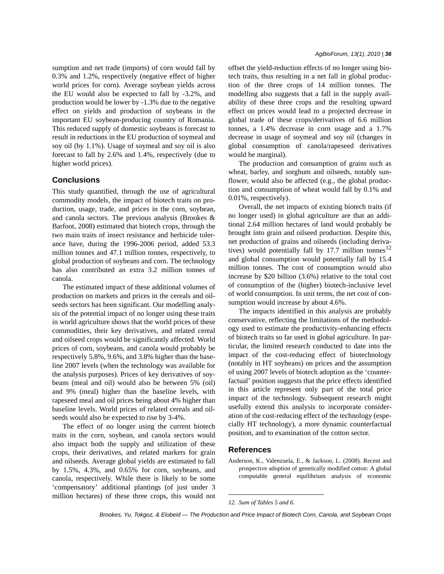sumption and net trade (imports) of corn would fall by 0.3% and 1.2%, respectively (negative effect of higher world prices for corn). Average soybean yields across the EU would also be expected to fall by -3.2%, and production would be lower by -1.3% due to the negative effect on yields and production of soybeans in the important EU soybean-producing country of Romania. This reduced supply of domestic soybeans is forecast to result in reductions in the EU production of soymeal and soy oil (by 1.1%). Usage of soymeal and soy oil is also forecast to fall by 2.6% and 1.4%, respectively (due to higher world prices).

## **Conclusions**

This study quantified, through the use of agricultural commodity models, the impact of biotech traits on production, usage, trade, and prices in the corn, soybean, and canola sectors. The previous analysis (Brookes & Barfoot, 2008) estimated that biotech crops, through the two main traits of insect resistance and herbicide tolerance have, during the 1996-2006 period, added 53.3 million tonnes and 47.1 million tonnes, respectively, to global production of soybeans and corn. The technology has also contributed an extra 3.2 million tonnes of canola.

The estimated impact of these additional volumes of production on markets and prices in the cereals and oilseeds sectors has been significant. Our modelling analysis of the potential impact of no longer using these traits in world agriculture shows that the world prices of these commodities, their key derivatives, and related cereal and oilseed crops would be significantly affected. World prices of corn, soybeans, and canola would probably be respectively 5.8%, 9.6%, and 3.8% higher than the baseline 2007 levels (when the technology was available for the analysis purposes). Prices of key derivatives of soybeans (meal and oil) would also be between 5% (oil) and 9% (meal) higher than the baseline levels, with rapeseed meal and oil prices being about 4% higher than baseline levels. World prices of related cereals and oilseeds would also be expected to rise by 3-4%.

The effect of no longer using the current biotech traits in the corn, soybean, and canola sectors would also impact both the supply and utilization of these crops, their derivatives, and related markets for grain and oilseeds. Average global yields are estimated to fall by 1.5%, 4.3%, and 0.65% for corn, soybeans, and canola, respectively. While there is likely to be some 'compensatory' additional plantings (of just under 3 million hectares) of these three crops, this would not offset the yield-reduction effects of no longer using biotech traits, thus resulting in a net fall in global production of the three crops of 14 million tonnes. The modelling also suggests that a fall in the supply availability of these three crops and the resulting upward effect on prices would lead to a projected decrease in global trade of these crops/derivatives of 6.6 million tonnes, a 1.4% decrease in corn usage and a 1.7% decrease in usage of soymeal and soy oil (changes in global consumption of canola/rapeseed derivatives would be marginal).

The production and consumption of grains such as wheat, barley, and sorghum and oilseeds, notably sunflower, would also be affected (e.g., the global production and consumption of wheat would fall by 0.1% and 0.01%, respectively).

Overall, the net impacts of existing biotech traits (if no longer used) in global agriculture are that an additional 2.64 million hectares of land would probably be brought into grain and oilseed production. Despite this, net production of grains and oilseeds (including derivatives) would potentially fall by 17.7 million tonnes<sup>12</sup> and global consumption would potentially fall by 15.4 million tonnes. The cost of consumption would also increase by \$20 billion (3.6%) relative to the total cost of consumption of the (higher) biotech-inclusive level of world consumption. In unit terms, the net cost of consumption would increase by about 4.6%.

The impacts identified in this analysis are probably conservative, reflecting the limitations of the methodology used to estimate the productivity-enhancing effects of biotech traits so far used in global agriculture. In particular, the limited research conducted to date into the impact of the cost-reducing effect of biotechnology (notably in HT soybeans) on prices and the assumption of using 2007 levels of biotech adoption as the 'counterfactual' position suggests that the price effects identified in this article represent only part of the total price impact of the technology. Subsequent research might usefully extend this analysis to incorporate consideration of the cost-reducing effect of the technology (especially HT technology), a more dynamic counterfactual position, and to examination of the cotton sector.

#### **References**

Anderson, K., Valenzuela, E., & Jackson, L. (2008). Recent and prospective adoption of genetically modified cotton: A global computable general equilibrium analysis of economic

*<sup>12.</sup> Sum of Tables 5 and 6.*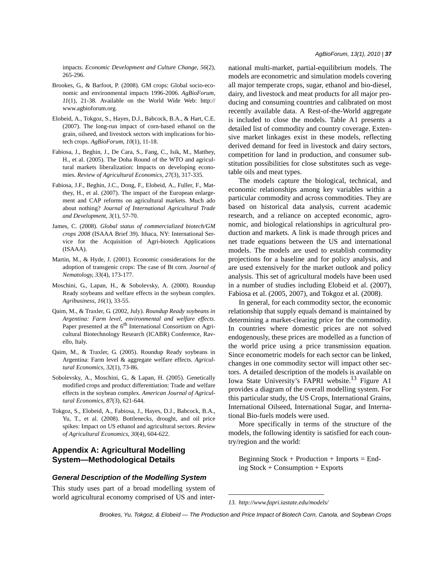impacts. *Economic Development and Culture Change*, *56*(2), 265-296.

- Brookes, G., & Barfoot, P. (2008). GM crops: Global socio-economic and environmental impacts 1996-2006. *AgBioForum*, *11*(1), 21-38. Available on the World Wide Web: http:// www.agbioforum.org.
- Elobeid, A., Tokgoz, S., Hayes, D.J., Babcock, B.A., & Hart, C.E. (2007). The long-run impact of corn-based ethanol on the grain, oilseed, and livestock sectors with implications for biotech crops. *AgBioForum*, *10*(1), 11-18.
- Fabiosa, J., Beghin, J., De Cara, S., Fang, C., Isik, M., Matthey, H., et al. (2005). The Doha Round of the WTO and agricultural markets liberalization: Impacts on developing economies. *Review of Agricultural Economics*, *27*(3), 317-335.
- Fabiosa, J.F., Beghin, J.C., Dong, F., Elobeid, A., Fuller, F., Matthey, H., et al. (2007). The impact of the European enlargement and CAP reforms on agricultural markets. Much ado about nothing? *Journal of International Agricultural Trade and Development*, *3*(1), 57-70.
- James, C. (2008). *Global status of commercialized biotech/GM crops 2008* (ISAAA Brief 39). Ithaca, NY: International Service for the Acquisition of Agri-biotech Applications (ISAAA).
- Martin, M., & Hyde, J. (2001). Economic considerations for the adoption of transgenic crops: The case of Bt corn. *Journal of Nematology*, *33*(4), 173-177.
- Moschini, G., Lapan, H., & Sobolevsky, A. (2000). Roundup Ready soybeans and welfare effects in the soybean complex. *Agribusiness*, *16*(1), 33-55.
- Qaim, M., & Traxler, G. (2002, July). *Roundup Ready soybeans in Argentina: Farm level, environmental and welfare effects*. Paper presented at the 6<sup>th</sup> International Consortium on Agricultural Biotechnology Research (ICABR) Conference, Ravello, Italy.
- Qaim, M., & Traxler, G. (2005). Roundup Ready soybeans in Argentina: Farm level & aggregate welfare effects. *Agricultural Economics*, *32*(1), 73-86.
- Sobolevsky, A., Moschini, G., & Lapan, H. (2005). Genetically modified crops and product differentiation: Trade and welfare effects in the soybean complex. *American Journal of Agricultural Economics*, *87*(3), 621-644.
- Tokgoz, S., Elobeid, A., Fabiosa, J., Hayes, D.J., Babcock, B.A., Yu, T., et al. (2008). Bottlenecks, drought, and oil price spikes: Impact on US ethanol and agricultural sectors. *Review of Agricultural Economics*, *30*(4), 604-622.

## **Appendix A: Agricultural Modelling System—Methodological Details**

#### *General Description of the Modelling System*

This study uses part of a broad modelling system of world agricultural economy comprised of US and international multi-market, partial-equilibrium models. The models are econometric and simulation models covering all major temperate crops, sugar, ethanol and bio-diesel, dairy, and livestock and meat products for all major producing and consuming countries and calibrated on most recently available data. A Rest-of-the-World aggregate is included to close the models. Table A1 presents a detailed list of commodity and country coverage. Extensive market linkages exist in these models, reflecting derived demand for feed in livestock and dairy sectors, competition for land in production, and consumer substitution possibilities for close substitutes such as vegetable oils and meat types.

The models capture the biological, technical, and economic relationships among key variables within a particular commodity and across commodities. They are based on historical data analysis, current academic research, and a reliance on accepted economic, agronomic, and biological relationships in agricultural production and markets. A link is made through prices and net trade equations between the US and international models. The models are used to establish commodity projections for a baseline and for policy analysis, and are used extensively for the market outlook and policy analysis. This set of agricultural models have been used in a number of studies including Elobeid et al. (2007), Fabiosa et al. (2005, 2007), and Tokgoz et al. (2008).

In general, for each commodity sector, the economic relationship that supply equals demand is maintained by determining a market-clearing price for the commodity. In countries where domestic prices are not solved endogenously, these prices are modelled as a function of the world price using a price transmission equation. Since econometric models for each sector can be linked, changes in one commodity sector will impact other sectors. A detailed description of the models is available on Iowa State University's FAPRI website.<sup>13</sup> Figure A1 provides a diagram of the overall modelling system. For this particular study, the US Crops, International Grains, International Oilseed, International Sugar, and International Bio-fuels models were used.

More specifically in terms of the structure of the models, the following identity is satisfied for each country/region and the world:

Beginning  $Stock + Production + Imports = End$ ing Stock + Consumption + Exports

*13. http://www.fapri.iastate.edu/models/*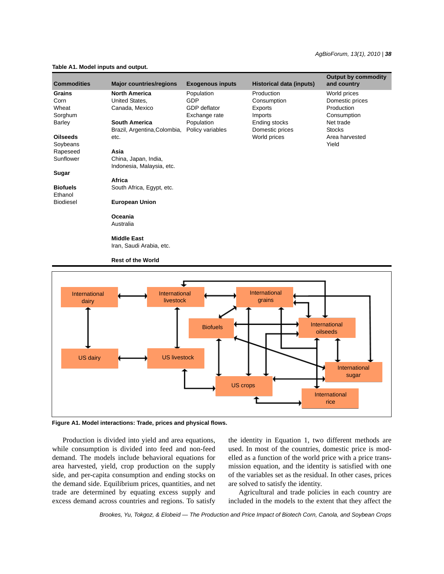#### *AgBioForum, 13(1), 2010 | 38*

#### **Table A1. Model inputs and output.**

| <b>Commodities</b> | <b>Major countries/regions</b> | <b>Exogenous inputs</b> | Historical data (inputs) | <b>Output by commodity</b><br>and country |
|--------------------|--------------------------------|-------------------------|--------------------------|-------------------------------------------|
| Grains             | <b>North America</b>           | Population              | Production               | World prices                              |
| Corn               | United States,                 | <b>GDP</b>              | Consumption              | Domestic prices                           |
| Wheat              | Canada, Mexico                 | GDP deflator            | Exports                  | Production                                |
| Sorghum            |                                | Exchange rate           | <b>Imports</b>           | Consumption                               |
| Barley             | <b>South America</b>           | Population              | Ending stocks            | Net trade                                 |
|                    | Brazil, Argentina, Colombia,   | Policy variables        | Domestic prices          | <b>Stocks</b>                             |
| <b>Oilseeds</b>    | etc.                           |                         | World prices             | Area harvested                            |
| Soybeans           |                                |                         |                          | Yield                                     |
| Rapeseed           | Asia                           |                         |                          |                                           |
| Sunflower          | China, Japan, India,           |                         |                          |                                           |
|                    | Indonesia, Malaysia, etc.      |                         |                          |                                           |
| Sugar              |                                |                         |                          |                                           |
|                    | Africa                         |                         |                          |                                           |
| <b>Biofuels</b>    | South Africa, Egypt, etc.      |                         |                          |                                           |
| Ethanol            |                                |                         |                          |                                           |
| <b>Biodiesel</b>   | <b>European Union</b>          |                         |                          |                                           |
|                    | Oceania                        |                         |                          |                                           |
|                    | Australia                      |                         |                          |                                           |
|                    | <b>Middle East</b>             |                         |                          |                                           |

Iran, Saudi Arabia, etc.

**Rest of the World**



**Figure A1. Model interactions: Trade, prices and physical flows.**

Production is divided into yield and area equations, while consumption is divided into feed and non-feed demand. The models include behavioral equations for area harvested, yield, crop production on the supply side, and per-capita consumption and ending stocks on the demand side. Equilibrium prices, quantities, and net trade are determined by equating excess supply and excess demand across countries and regions. To satisfy the identity in Equation 1, two different methods are used. In most of the countries, domestic price is modelled as a function of the world price with a price transmission equation, and the identity is satisfied with one of the variables set as the residual. In other cases, prices are solved to satisfy the identity.

Agricultural and trade policies in each country are included in the models to the extent that they affect the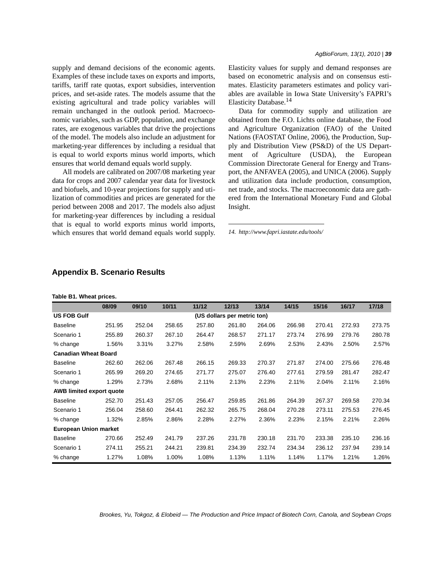supply and demand decisions of the economic agents. Examples of these include taxes on exports and imports, tariffs, tariff rate quotas, export subsidies, intervention prices, and set-aside rates. The models assume that the existing agricultural and trade policy variables will remain unchanged in the outlook period. Macroeconomic variables, such as GDP, population, and exchange rates, are exogenous variables that drive the projections of the model. The models also include an adjustment for marketing-year differences by including a residual that is equal to world exports minus world imports, which ensures that world demand equals world supply.

All models are calibrated on 2007/08 marketing year data for crops and 2007 calendar year data for livestock and biofuels, and 10-year projections for supply and utilization of commodities and prices are generated for the period between 2008 and 2017. The models also adjust for marketing-year differences by including a residual that is equal to world exports minus world imports, which ensures that world demand equals world supply. Elasticity values for supply and demand responses are based on econometric analysis and on consensus estimates. Elasticity parameters estimates and policy variables are available in Iowa State University's FAPRI's Elasticity Database.<sup>14</sup>

Data for commodity supply and utilization are obtained from the F.O. Lichts online database, the Food and Agriculture Organization (FAO) of the United Nations (FAOSTAT Online, 2006), the Production, Supply and Distribution View (PS&D) of the US Department of Agriculture (USDA), the European Commission Directorate General for Energy and Transport, the ANFAVEA (2005), and UNICA (2006). Supply and utilization data include production, consumption, net trade, and stocks. The macroeconomic data are gathered from the International Monetary Fund and Global Insight.

*14. http://www.fapri.iastate.edu/tools/*

|                                 | Table B1. Wheat prices. |        |        |        |                             |        |        |        |        |        |  |
|---------------------------------|-------------------------|--------|--------|--------|-----------------------------|--------|--------|--------|--------|--------|--|
|                                 | 08/09                   | 09/10  | 10/11  | 11/12  | 12/13                       | 13/14  | 14/15  | 15/16  | 16/17  | 17/18  |  |
| <b>US FOB Gulf</b>              |                         |        |        |        | (US dollars per metric ton) |        |        |        |        |        |  |
| <b>Baseline</b>                 | 251.95                  | 252.04 | 258.65 | 257.80 | 261.80                      | 264.06 | 266.98 | 270.41 | 272.93 | 273.75 |  |
| Scenario 1                      | 255.89                  | 260.37 | 267.10 | 264.47 | 268.57                      | 271.17 | 273.74 | 276.99 | 279.76 | 280.78 |  |
| % change                        | 1.56%                   | 3.31%  | 3.27%  | 2.58%  | 2.59%                       | 2.69%  | 2.53%  | 2.43%  | 2.50%  | 2.57%  |  |
| <b>Canadian Wheat Board</b>     |                         |        |        |        |                             |        |        |        |        |        |  |
| <b>Baseline</b>                 | 262.60                  | 262.06 | 267.48 | 266.15 | 269.33                      | 270.37 | 271.87 | 274.00 | 275.66 | 276.48 |  |
| Scenario 1                      | 265.99                  | 269.20 | 274.65 | 271.77 | 275.07                      | 276.40 | 277.61 | 279.59 | 281.47 | 282.47 |  |
| % change                        | 1.29%                   | 2.73%  | 2.68%  | 2.11%  | 2.13%                       | 2.23%  | 2.11%  | 2.04%  | 2.11%  | 2.16%  |  |
| <b>AWB limited export quote</b> |                         |        |        |        |                             |        |        |        |        |        |  |
| <b>Baseline</b>                 | 252.70                  | 251.43 | 257.05 | 256.47 | 259.85                      | 261.86 | 264.39 | 267.37 | 269.58 | 270.34 |  |
| Scenario 1                      | 256.04                  | 258.60 | 264.41 | 262.32 | 265.75                      | 268.04 | 270.28 | 273.11 | 275.53 | 276.45 |  |
| % change                        | 1.32%                   | 2.85%  | 2.86%  | 2.28%  | 2.27%                       | 2.36%  | 2.23%  | 2.15%  | 2.21%  | 2.26%  |  |
| <b>European Union market</b>    |                         |        |        |        |                             |        |        |        |        |        |  |
| <b>Baseline</b>                 | 270.66                  | 252.49 | 241.79 | 237.26 | 231.78                      | 230.18 | 231.70 | 233.38 | 235.10 | 236.16 |  |
| Scenario 1                      | 274.11                  | 255.21 | 244.21 | 239.81 | 234.39                      | 232.74 | 234.34 | 236.12 | 237.94 | 239.14 |  |
| % change                        | 1.27%                   | 1.08%  | 1.00%  | 1.08%  | 1.13%                       | 1.11%  | 1.14%  | 1.17%  | 1.21%  | 1.26%  |  |

### **Appendix B. Scenario Results**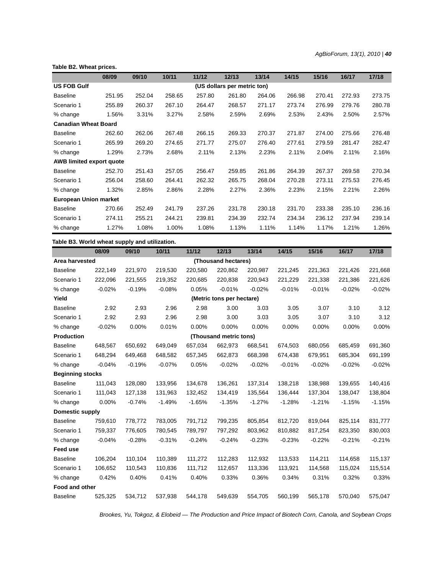**Table B2. Wheat prices.**

|                                 | 08/09  | 09/10  | 10/11  | 11/12  | 12/13                       | 13/14  | 14/15  | 15/16  | 16/17  | 17/18  |
|---------------------------------|--------|--------|--------|--------|-----------------------------|--------|--------|--------|--------|--------|
| <b>US FOB Gulf</b>              |        |        |        |        | (US dollars per metric ton) |        |        |        |        |        |
| <b>Baseline</b>                 | 251.95 | 252.04 | 258.65 | 257.80 | 261.80                      | 264.06 | 266.98 | 270.41 | 272.93 | 273.75 |
| Scenario 1                      | 255.89 | 260.37 | 267.10 | 264.47 | 268.57                      | 271.17 | 273.74 | 276.99 | 279.76 | 280.78 |
| % change                        | 1.56%  | 3.31%  | 3.27%  | 2.58%  | 2.59%                       | 2.69%  | 2.53%  | 2.43%  | 2.50%  | 2.57%  |
| <b>Canadian Wheat Board</b>     |        |        |        |        |                             |        |        |        |        |        |
| <b>Baseline</b>                 | 262.60 | 262.06 | 267.48 | 266.15 | 269.33                      | 270.37 | 271.87 | 274.00 | 275.66 | 276.48 |
| Scenario 1                      | 265.99 | 269.20 | 274.65 | 271.77 | 275.07                      | 276.40 | 277.61 | 279.59 | 281.47 | 282.47 |
| % change                        | 1.29%  | 2.73%  | 2.68%  | 2.11%  | 2.13%                       | 2.23%  | 2.11%  | 2.04%  | 2.11%  | 2.16%  |
| <b>AWB limited export quote</b> |        |        |        |        |                             |        |        |        |        |        |
| <b>Baseline</b>                 | 252.70 | 251.43 | 257.05 | 256.47 | 259.85                      | 261.86 | 264.39 | 267.37 | 269.58 | 270.34 |
| Scenario 1                      | 256.04 | 258.60 | 264.41 | 262.32 | 265.75                      | 268.04 | 270.28 | 273.11 | 275.53 | 276.45 |
| % change                        | 1.32%  | 2.85%  | 2.86%  | 2.28%  | 2.27%                       | 2.36%  | 2.23%  | 2.15%  | 2.21%  | 2.26%  |
| <b>European Union market</b>    |        |        |        |        |                             |        |        |        |        |        |
| <b>Baseline</b>                 | 270.66 | 252.49 | 241.79 | 237.26 | 231.78                      | 230.18 | 231.70 | 233.38 | 235.10 | 236.16 |
| Scenario 1                      | 274.11 | 255.21 | 244.21 | 239.81 | 234.39                      | 232.74 | 234.34 | 236.12 | 237.94 | 239.14 |
| % change                        | 1.27%  | 1.08%  | 1.00%  | 1.08%  | 1.13%                       | 1.11%  | 1.14%  | 1.17%  | 1.21%  | 1.26%  |

**Table B3. World wheat supply and utilization.**

|                         | 08/09    | 09/10    | 10/11    | 11/12    | 12/13                     | 13/14    | 14/15    | 15/16    | 16/17    | 17/18    |
|-------------------------|----------|----------|----------|----------|---------------------------|----------|----------|----------|----------|----------|
| Area harvested          |          |          |          |          | (Thousand hectares)       |          |          |          |          |          |
| <b>Baseline</b>         | 222,149  | 221,970  | 219,530  | 220,580  | 220,862                   | 220,987  | 221,245  | 221,363  | 221,426  | 221,668  |
| Scenario 1              | 222,096  | 221,555  | 219,352  | 220,685  | 220,838                   | 220,943  | 221,229  | 221,338  | 221,386  | 221,626  |
| % change                | $-0.02%$ | $-0.19%$ | $-0.08%$ | 0.05%    | $-0.01%$                  | $-0.02%$ | $-0.01%$ | $-0.01%$ | $-0.02%$ | $-0.02%$ |
| Yield                   |          |          |          |          | (Metric tons per hectare) |          |          |          |          |          |
| <b>Baseline</b>         | 2.92     | 2.93     | 2.96     | 2.98     | 3.00                      | 3.03     | 3.05     | 3.07     | 3.10     | 3.12     |
| Scenario 1              | 2.92     | 2.93     | 2.96     | 2.98     | 3.00                      | 3.03     | 3.05     | 3.07     | 3.10     | 3.12     |
| % change                | $-0.02%$ | 0.00%    | 0.01%    | 0.00%    | 0.00%                     | 0.00%    | 0.00%    | 0.00%    | 0.00%    | 0.00%    |
| <b>Production</b>       |          |          |          |          | (Thousand metric tons)    |          |          |          |          |          |
| <b>Baseline</b>         | 648,567  | 650,692  | 649,049  | 657,034  | 662,973                   | 668,541  | 674,503  | 680,056  | 685,459  | 691,360  |
| Scenario 1              | 648,294  | 649,468  | 648,582  | 657,345  | 662,873                   | 668,398  | 674,438  | 679,951  | 685,304  | 691,199  |
| % change                | $-0.04%$ | $-0.19%$ | $-0.07%$ | 0.05%    | $-0.02%$                  | $-0.02%$ | $-0.01%$ | $-0.02%$ | $-0.02%$ | $-0.02%$ |
| <b>Beginning stocks</b> |          |          |          |          |                           |          |          |          |          |          |
| <b>Baseline</b>         | 111,043  | 128,080  | 133,956  | 134,678  | 136,261                   | 137,314  | 138,218  | 138,988  | 139,655  | 140,416  |
| Scenario 1              | 111,043  | 127,138  | 131,963  | 132,452  | 134,419                   | 135,564  | 136,444  | 137,304  | 138,047  | 138,804  |
| % change                | 0.00%    | $-0.74%$ | $-1.49%$ | $-1.65%$ | $-1.35%$                  | $-1.27%$ | $-1.28%$ | $-1.21%$ | $-1.15%$ | $-1.15%$ |
| <b>Domestic supply</b>  |          |          |          |          |                           |          |          |          |          |          |
| <b>Baseline</b>         | 759,610  | 778,772  | 783,005  | 791,712  | 799,235                   | 805,854  | 812,720  | 819,044  | 825,114  | 831,777  |
| Scenario 1              | 759,337  | 776,605  | 780,545  | 789,797  | 797,292                   | 803,962  | 810,882  | 817,254  | 823,350  | 830,003  |
| % change                | $-0.04%$ | $-0.28%$ | $-0.31%$ | $-0.24%$ | $-0.24%$                  | $-0.23%$ | $-0.23%$ | $-0.22%$ | $-0.21%$ | $-0.21%$ |
| <b>Feed use</b>         |          |          |          |          |                           |          |          |          |          |          |
| <b>Baseline</b>         | 106,204  | 110,104  | 110,389  | 111,272  | 112,283                   | 112,932  | 113,533  | 114,211  | 114,658  | 115,137  |
| Scenario 1              | 106,652  | 110,543  | 110,836  | 111,712  | 112,657                   | 113,336  | 113,921  | 114,568  | 115,024  | 115,514  |
| % change                | 0.42%    | 0.40%    | 0.41%    | 0.40%    | 0.33%                     | 0.36%    | 0.34%    | 0.31%    | 0.32%    | 0.33%    |
| Food and other          |          |          |          |          |                           |          |          |          |          |          |
| <b>Baseline</b>         | 525,325  | 534,712  | 537,938  | 544,178  | 549,639                   | 554,705  | 560,199  | 565,178  | 570,040  | 575,047  |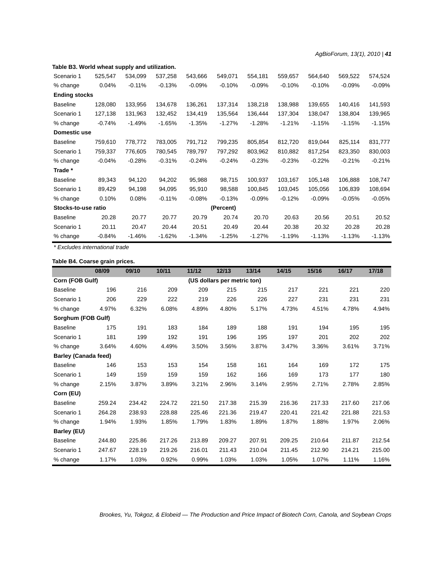#### **Table B3. World wheat supply and utilization.**

| Scenario 1           | 525,547  | 534,099  | 537,258  | 543,666  | 549,071   | 554,181  | 559,657  | 564,640  | 569,522  | 574,524  |
|----------------------|----------|----------|----------|----------|-----------|----------|----------|----------|----------|----------|
| % change             | 0.04%    | $-0.11%$ | $-0.13%$ | $-0.09%$ | $-0.10%$  | $-0.09%$ | $-0.10%$ | $-0.10%$ | $-0.09%$ | $-0.09%$ |
| <b>Ending stocks</b> |          |          |          |          |           |          |          |          |          |          |
| <b>Baseline</b>      | 128,080  | 133,956  | 134,678  | 136,261  | 137,314   | 138,218  | 138,988  | 139,655  | 140,416  | 141,593  |
| Scenario 1           | 127,138  | 131,963  | 132,452  | 134,419  | 135,564   | 136,444  | 137,304  | 138,047  | 138,804  | 139,965  |
| % change             | $-0.74%$ | $-1.49%$ | $-1.65%$ | $-1.35%$ | $-1.27%$  | $-1.28%$ | $-1.21%$ | $-1.15%$ | $-1.15%$ | $-1.15%$ |
| Domestic use         |          |          |          |          |           |          |          |          |          |          |
| <b>Baseline</b>      | 759,610  | 778,772  | 783,005  | 791,712  | 799,235   | 805,854  | 812,720  | 819,044  | 825,114  | 831,777  |
| Scenario 1           | 759,337  | 776,605  | 780,545  | 789,797  | 797,292   | 803,962  | 810,882  | 817,254  | 823,350  | 830,003  |
| % change             | $-0.04%$ | $-0.28%$ | $-0.31%$ | $-0.24%$ | $-0.24%$  | $-0.23%$ | $-0.23%$ | $-0.22%$ | $-0.21%$ | $-0.21%$ |
| Trade *              |          |          |          |          |           |          |          |          |          |          |
| <b>Baseline</b>      | 89,343   | 94,120   | 94,202   | 95,988   | 98,715    | 100,937  | 103,167  | 105,148  | 106,888  | 108,747  |
| Scenario 1           | 89,429   | 94,198   | 94,095   | 95,910   | 98,588    | 100,845  | 103,045  | 105,056  | 106,839  | 108,694  |
| % change             | 0.10%    | 0.08%    | $-0.11%$ | $-0.08%$ | $-0.13%$  | $-0.09%$ | $-0.12%$ | $-0.09%$ | $-0.05%$ | $-0.05%$ |
| Stocks-to-use ratio  |          |          |          |          | (Percent) |          |          |          |          |          |
| <b>Baseline</b>      | 20.28    | 20.77    | 20.77    | 20.79    | 20.74     | 20.70    | 20.63    | 20.56    | 20.51    | 20.52    |
| Scenario 1           | 20.11    | 20.47    | 20.44    | 20.51    | 20.49     | 20.44    | 20.38    | 20.32    | 20.28    | 20.28    |
| % change             | $-0.84%$ | $-1.46%$ | $-1.62%$ | $-1.34%$ | $-1.25%$  | $-1.27%$ | $-1.19%$ | $-1.13%$ | $-1.13%$ | $-1.13%$ |

*\* Excludes international trade*

## **Table B4. Coarse grain prices.**

|                             | 08/09  | 09/10  | 10/11  | 11/12  | 12/13                       | 13/14  | 14/15  | 15/16  | 16/17  | 17/18  |
|-----------------------------|--------|--------|--------|--------|-----------------------------|--------|--------|--------|--------|--------|
| Corn (FOB Gulf)             |        |        |        |        | (US dollars per metric ton) |        |        |        |        |        |
| <b>Baseline</b>             | 196    | 216    | 209    | 209    | 215                         | 215    | 217    | 221    | 221    | 220    |
| Scenario 1                  | 206    | 229    | 222    | 219    | 226                         | 226    | 227    | 231    | 231    | 231    |
| % change                    | 4.97%  | 6.32%  | 6.08%  | 4.89%  | 4.80%                       | 5.17%  | 4.73%  | 4.51%  | 4.78%  | 4.94%  |
| Sorghum (FOB Gulf)          |        |        |        |        |                             |        |        |        |        |        |
| <b>Baseline</b>             | 175    | 191    | 183    | 184    | 189                         | 188    | 191    | 194    | 195    | 195    |
| Scenario 1                  | 181    | 199    | 192    | 191    | 196                         | 195    | 197    | 201    | 202    | 202    |
| % change                    | 3.64%  | 4.60%  | 4.49%  | 3.50%  | 3.56%                       | 3.87%  | 3.47%  | 3.36%  | 3.61%  | 3.71%  |
| <b>Barley (Canada feed)</b> |        |        |        |        |                             |        |        |        |        |        |
| <b>Baseline</b>             | 146    | 153    | 153    | 154    | 158                         | 161    | 164    | 169    | 172    | 175    |
| Scenario 1                  | 149    | 159    | 159    | 159    | 162                         | 166    | 169    | 173    | 177    | 180    |
| % change                    | 2.15%  | 3.87%  | 3.89%  | 3.21%  | 2.96%                       | 3.14%  | 2.95%  | 2.71%  | 2.78%  | 2.85%  |
| Corn (EU)                   |        |        |        |        |                             |        |        |        |        |        |
| <b>Baseline</b>             | 259.24 | 234.42 | 224.72 | 221.50 | 217.38                      | 215.39 | 216.36 | 217.33 | 217.60 | 217.06 |
| Scenario 1                  | 264.28 | 238.93 | 228.88 | 225.46 | 221.36                      | 219.47 | 220.41 | 221.42 | 221.88 | 221.53 |
| % change                    | 1.94%  | 1.93%  | 1.85%  | 1.79%  | 1.83%                       | 1.89%  | 1.87%  | 1.88%  | 1.97%  | 2.06%  |
| Barley (EU)                 |        |        |        |        |                             |        |        |        |        |        |
| <b>Baseline</b>             | 244.80 | 225.86 | 217.26 | 213.89 | 209.27                      | 207.91 | 209.25 | 210.64 | 211.87 | 212.54 |
| Scenario 1                  | 247.67 | 228.19 | 219.26 | 216.01 | 211.43                      | 210.04 | 211.45 | 212.90 | 214.21 | 215.00 |
| % change                    | 1.17%  | 1.03%  | 0.92%  | 0.99%  | 1.03%                       | 1.03%  | 1.05%  | 1.07%  | 1.11%  | 1.16%  |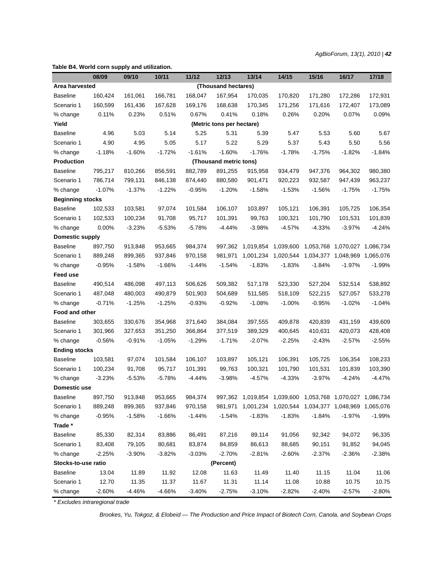*AgBioForum, 13(1), 2010 | 42*

**Table B4. World corn supply and utilization.**

|                         | 08/09    | 09/10    | 10/11    | 11/12    | 12/13                     | 13/14     | 14/15     | 15/16     | 16/17                         | 17/18     |
|-------------------------|----------|----------|----------|----------|---------------------------|-----------|-----------|-----------|-------------------------------|-----------|
| Area harvested          |          |          |          |          | (Thousand hectares)       |           |           |           |                               |           |
| <b>Baseline</b>         | 160,424  | 161,061  | 166,781  | 168,047  | 167,954                   | 170,035   | 170,820   | 171,280   | 172,286                       | 172,931   |
| Scenario 1              | 160,599  | 161,436  | 167,628  | 169,176  | 168,638                   | 170,345   | 171,256   | 171,616   | 172,407                       | 173,089   |
| % change                | 0.11%    | 0.23%    | 0.51%    | 0.67%    | 0.41%                     | 0.18%     | 0.26%     | 0.20%     | 0.07%                         | 0.09%     |
| Yield                   |          |          |          |          | (Metric tons per hectare) |           |           |           |                               |           |
| <b>Baseline</b>         | 4.96     | 5.03     | 5.14     | 5.25     | 5.31                      | 5.39      | 5.47      | 5.53      | 5.60                          | 5.67      |
| Scenario 1              | 4.90     | 4.95     | 5.05     | 5.17     | 5.22                      | 5.29      | 5.37      | 5.43      | 5.50                          | 5.56      |
| % change                | $-1.18%$ | $-1.60%$ | $-1.72%$ | $-1.61%$ | $-1.60%$                  | $-1.76%$  | $-1.78%$  | $-1.75%$  | $-1.82%$                      | $-1.84%$  |
| <b>Production</b>       |          |          |          |          | (Thousand metric tons)    |           |           |           |                               |           |
| <b>Baseline</b>         | 795,217  | 810,266  | 856,591  | 882,789  | 891,255                   | 915,958   | 934,479   | 947,376   | 964,302                       | 980,380   |
| Scenario 1              | 786,714  | 799,131  | 846,138  | 874,440  | 880,580                   | 901,471   | 920,223   | 932,587   | 947,439                       | 963,237   |
| % change                | $-1.07%$ | $-1.37%$ | $-1.22%$ | $-0.95%$ | $-1.20%$                  | $-1.58%$  | $-1.53%$  | $-1.56%$  | $-1.75%$                      | $-1.75%$  |
| <b>Beginning stocks</b> |          |          |          |          |                           |           |           |           |                               |           |
| <b>Baseline</b>         | 102,533  | 103,581  | 97,074   | 101,584  | 106,107                   | 103,897   | 105,121   | 106,391   | 105,725                       | 106,354   |
| Scenario 1              | 102,533  | 100,234  | 91,708   | 95,717   | 101,391                   | 99,763    | 100,321   | 101,790   | 101,531                       | 101,839   |
| % change                | 0.00%    | $-3.23%$ | $-5.53%$ | $-5.78%$ | $-4.44%$                  | $-3.98%$  | $-4.57%$  | $-4.33%$  | $-3.97%$                      | $-4.24%$  |
| <b>Domestic supply</b>  |          |          |          |          |                           |           |           |           |                               |           |
| <b>Baseline</b>         | 897,750  | 913.848  | 953,665  | 984,374  | 997.362                   | 1,019,854 | 1,039,600 | 1,053,768 | 1,070,027                     | 1,086,734 |
| Scenario 1              | 889,248  | 899,365  | 937,846  | 970,158  | 981,971                   | 1,001,234 | 1,020,544 |           | 1,034,377 1,048,969           | 1,065,076 |
| % change                | $-0.95%$ | $-1.58%$ | $-1.66%$ | $-1.44%$ | $-1.54%$                  | $-1.83%$  | $-1.83%$  | $-1.84%$  | $-1.97%$                      | $-1.99%$  |
| Feed use                |          |          |          |          |                           |           |           |           |                               |           |
| <b>Baseline</b>         | 490,514  | 486,098  | 497,113  | 506,626  | 509,382                   | 517,178   | 523,330   | 527,204   | 532,514                       | 538,892   |
| Scenario 1              | 487,048  | 480,003  | 490,879  | 501,903  | 504,689                   | 511,585   | 518,109   | 522,215   | 527,057                       | 533,278   |
| % change                | $-0.71%$ | $-1.25%$ | $-1.25%$ | $-0.93%$ | $-0.92%$                  | $-1.08%$  | $-1.00%$  | $-0.95%$  | $-1.02%$                      | $-1.04%$  |
| Food and other          |          |          |          |          |                           |           |           |           |                               |           |
| <b>Baseline</b>         | 303,655  | 330,676  | 354,968  | 371,640  | 384,084                   | 397,555   | 409,878   | 420,839   | 431,159                       | 439,609   |
| Scenario 1              | 301,966  | 327,653  | 351,250  | 366,864  | 377,519                   | 389,329   | 400,645   | 410,631   | 420,073                       | 428,408   |
| % change                | $-0.56%$ | $-0.91%$ | $-1.05%$ | $-1.29%$ | $-1.71%$                  | $-2.07%$  | $-2.25%$  | $-2.43%$  | $-2.57%$                      | $-2.55%$  |
| <b>Ending stocks</b>    |          |          |          |          |                           |           |           |           |                               |           |
| <b>Baseline</b>         | 103,581  | 97,074   | 101,584  | 106,107  | 103,897                   | 105,121   | 106.391   | 105.725   | 106.354                       | 108,233   |
| Scenario 1              | 100,234  | 91,708   | 95,717   | 101,391  | 99,763                    | 100,321   | 101,790   | 101,531   | 101,839                       | 103,390   |
| % change                | $-3.23%$ | $-5.53%$ | $-5.78%$ | $-4.44%$ | $-3.98%$                  | $-4.57%$  | $-4.33%$  | $-3.97%$  | $-4.24%$                      | $-4.47%$  |
| Domestic use            |          |          |          |          |                           |           |           |           |                               |           |
| <b>Baseline</b>         | 897,750  | 913,848  | 953,665  | 984,374  | 997,362                   | 1,019,854 | 1,039,600 |           | 1,053,768 1,070,027 1,086,734 |           |
| Scenario 1              | 889,248  | 899,365  | 937,846  | 970,158  | 981,971                   | 1,001,234 | 1,020,544 |           | 1,034,377 1,048,969 1,065,076 |           |
| % change                | $-0.95%$ | $-1.58%$ | $-1.66%$ | $-1.44%$ | $-1.54%$                  | $-1.83%$  | $-1.83%$  | $-1.84%$  | $-1.97%$                      | $-1.99%$  |
| Trade *                 |          |          |          |          |                           |           |           |           |                               |           |
| <b>Baseline</b>         | 85,330   | 82,314   | 83,886   | 86,491   | 87,216                    | 89,114    | 91,056    | 92,342    | 94,072                        | 96,335    |
| Scenario 1              | 83,408   | 79,105   | 80,681   | 83,874   | 84,859                    | 86,613    | 88,685    | 90,151    | 91,852                        | 94,045    |
| % change                | $-2.25%$ | $-3.90%$ | $-3.82%$ | $-3.03%$ | $-2.70%$                  | $-2.81%$  | $-2.60%$  | $-2.37%$  | $-2.36%$                      | $-2.38%$  |
| Stocks-to-use ratio     |          |          |          |          | (Percent)                 |           |           |           |                               |           |
| <b>Baseline</b>         | 13.04    | 11.89    | 11.92    | 12.08    | 11.63                     | 11.49     | 11.40     | 11.15     | 11.04                         | 11.06     |
| Scenario 1              | 12.70    | 11.35    | 11.37    | 11.67    | 11.31                     | 11.14     | 11.08     | 10.88     | 10.75                         | 10.75     |
| % change                | $-2.60%$ | -4.46%   | $-4.66%$ | $-3.40%$ | $-2.75%$                  | $-3.10%$  | $-2.82%$  | $-2.40%$  | $-2.57%$                      | $-2.80%$  |

*\* Excludes intraregional trade*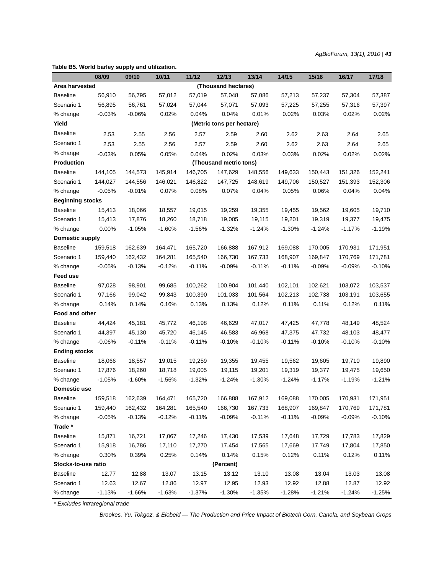*AgBioForum, 13(1), 2010 | 43*

## **08/09 09/10 10/11 11/12 12/13 13/14 14/15 15/16 16/17 17/18 Area harvested (Thousand hectares)** Baseline 56,910 56,795 57,012 57,019 57,048 57,086 57,213 57,237 57,304 57,387 Scenario 1 56,895 56,761 57,024 57,044 57,071 57,093 57,225 57,255 57,316 57,397 % change -0.03% -0.06% 0.02% 0.04% 0.04% 0.01% 0.02% 0.02% 0.02% 0.02% 0.02% **Yield (Metric tons per hectare)**  Baseline 2.53 2.55 2.56 2.57 2.59 2.60 2.62 2.63 2.64 2.65 Scenario 1 2.53 2.55 2.56 2.57 2.59 2.60 2.62 2.63 2.64 2.65 % change -0.03% 0.05% 0.05% 0.04% 0.02% 0.03% 0.03% 0.02% 0.02% 0.02% **Production (Thousand metric tons)**  Baseline 144,105 144,573 145,914 146,705 147,629 148,556 149,633 150,443 151,326 152,241 Scenario 1 144,027 144,556 146,021 146,822 147,725 148,619 149,706 150,527 151,393 152,306 % change -0.05% -0.01% 0.07% 0.07% 0.04% 0.06% 0.04% 0.04% 0.04% **Beginning stocks** Baseline 15,413 18,066 18,557 19,015 19,259 19,355 19,455 19,562 19,605 19,710 Scenario 1 15,413 17,876 18,260 18,718 19,005 19,115 19,201 19,319 19,377 19,475 % change 0.00% -1.05% -1.60% -1.56% -1.32% -1.24% -1.30% -1.24% -1.17% -1.19% **Domestic supply** Baseline 159,518 162,639 164,471 165,720 166,888 167,912 169,088 170,005 170,931 171,951 Scenario 1 159,440 162,432 164,281 165,540 166,730 167,733 168,907 169,847 170,769 171,781 % change -0.05% -0.13% -0.12% -0.11% -0.09% -0.11% -0.11% -0.09% -0.09% -0.10% **Feed use** Baseline 97,028 98,901 99,685 100,262 100,904 101,440 102,101 102,621 103,072 103,537 Scenario 1 97,166 99,042 99,843 100,390 101,033 101,564 102,213 102,738 103,191 103,655 % change 0.14% 0.14% 0.16% 0.13% 0.13% 0.12% 0.11% 0.11% 0.12% 0.11% **Food and other** Baseline 44,424 45,181 45,772 46,198 46,629 47,017 47,425 47,778 48,149 48,524 Scenario 1 44,397 45,130 45,720 46,145 46,583 46,968 47,375 47,732 48,103 48,477 % change -0.06% -0.11% -0.11% -0.10% -0.10% -0.10% -0.10% -0.10% **Ending stocks** Baseline 18,066 18,557 19,015 19,259 19,355 19,455 19,562 19,605 19,710 19,890 Scenario 1 17,876 18,260 18,718 19,005 19,115 19,201 19,319 19,377 19,475 19,650 % change -1.05% -1.60% -1.56% -1.32% -1.24% -1.30% -1.24% -1.17% -1.19% -1.21% **Domestic use** Baseline 159,518 162,639 164,471 165,720 166,888 167,912 169,088 170,005 170,931 171,951 Scenario 1 159,440 162,432 164,281 165,540 166,730 167,733 168,907 169,847 170,769 171,781 % change -0.05% -0.13% -0.12% -0.11% -0.09% -0.11% -0.11% -0.09% -0.09% -0.10% **Trade \*** Baseline 15,871 16,721 17,067 17,246 17,430 17,539 17,648 17,729 17,783 17,829 Scenario 1 15,918 16,786 17,110 17,270 17,454 17,565 17,669 17,749 17,804 17,850 % change 0.30% 0.39% 0.25% 0.14% 0.14% 0.15% 0.12% 0.11% 0.12% 0.11% **Stocks-to-use ratio (Percent)**  Baseline 12.77 12.88 13.07 13.15 13.12 13.10 13.08 13.04 13.03 13.08 Scenario 1 12.63 12.67 12.86 12.97 12.95 12.93 12.92 12.88 12.87 12.92 % change -1.13% -1.66% -1.63% -1.37% -1.30% -1.35% -1.28% -1.21% -1.24% -1.25%

*\* Excludes intraregional trade*

**Table B5. World barley supply and utilization.**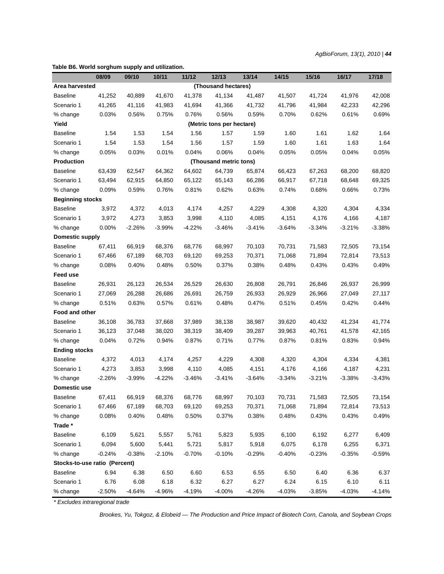| 10/11<br>13/14<br>15/16<br>17/18<br>08/09<br>09/10<br>11/12<br>12/13<br>14/15<br>16/17<br>Area harvested<br>(Thousand hectares)<br><b>Baseline</b><br>41,252<br>40,889<br>41,670<br>41,378<br>41,134<br>41,507<br>41,724<br>42,008<br>41,487<br>41,976<br>Scenario 1<br>41,265<br>41,116<br>41,983<br>41,694<br>41,366<br>41,732<br>41,796<br>41,984<br>42,233<br>42,296<br>% change<br>0.03%<br>0.56%<br>0.75%<br>0.76%<br>0.56%<br>0.59%<br>0.70%<br>0.62%<br>0.61%<br>0.69%<br>Yield<br>(Metric tons per hectare)<br><b>Baseline</b><br>1.54<br>1.53<br>1.54<br>1.56<br>1.59<br>1.60<br>1.61<br>1.62<br>1.64<br>1.57<br>1.54<br>1.53<br>1.54<br>1.56<br>1.59<br>1.60<br>1.61<br>1.63<br>1.64<br>Scenario 1<br>1.57<br>% change<br>0.03%<br>0.01%<br>0.04%<br>0.06%<br>0.04%<br>0.05%<br>0.05%<br>0.04%<br>0.05%<br>0.05%<br>Production<br>(Thousand metric tons)<br><b>Baseline</b><br>64,602<br>68,820<br>63,439<br>62,547<br>64,362<br>64,739<br>65,874<br>66,423<br>67,263<br>68,200<br>62,915<br>66,917<br>Scenario 1<br>63,494<br>64,850<br>65,122<br>65,143<br>66,286<br>67,718<br>68,648<br>69,325<br>0.09%<br>0.81%<br>0.62%<br>0.63%<br>0.74%<br>0.66%<br>% change<br>0.59%<br>0.76%<br>0.68%<br>0.73%<br><b>Beginning stocks</b><br><b>Baseline</b><br>3,972<br>4,334<br>4,372<br>4,013<br>4,174<br>4,257<br>4,229<br>4,308<br>4,320<br>4,304<br>Scenario 1<br>3,972<br>4,110<br>4,176<br>4,273<br>3,853<br>3,998<br>4,085<br>4,151<br>4,166<br>4,187<br>% change<br>$0.00\%$<br>-2.26%<br>$-3.99%$<br>-4.22%<br>$-3.46\%$<br>$-3.41%$<br>$-3.64%$<br>$-3.34%$<br>$-3.21%$<br>$-3.38%$<br><b>Domestic supply</b><br><b>Baseline</b><br>66,919<br>68,997<br>71,583<br>72,505<br>67,411<br>68,376<br>68,776<br>70,103<br>70,731<br>73,154<br>67,189<br>68,703<br>69,120<br>70,371<br>71,068<br>72,814<br>Scenario 1<br>67,466<br>69,253<br>71,894<br>73,513<br>% change<br>0.08%<br>0.40%<br>0.50%<br>0.37%<br>0.49%<br>0.48%<br>0.38%<br>0.48%<br>0.43%<br>0.43%<br>Feed use<br><b>Baseline</b><br>26,931<br>26,999<br>26,123<br>26,534<br>26,529<br>26,630<br>26,808<br>26,791<br>26,846<br>26,937<br>Scenario 1<br>27,069<br>26,288<br>26,686<br>26,691<br>26,759<br>26,933<br>26,929<br>26,966<br>27,049<br>27,117<br>0.51%<br>0.48%<br>0.47%<br>0.51%<br>0.45%<br>0.42%<br>% change<br>0.63%<br>0.57%<br>0.61%<br>0.44%<br>Food and other<br><b>Baseline</b><br>36,108<br>41,774<br>36,783<br>37,668<br>37,989<br>38,138<br>38,987<br>39,620<br>40,432<br>41,234<br>Scenario 1<br>41,578<br>36,123<br>37,048<br>38,020<br>38,319<br>38,409<br>39,287<br>39,963<br>40,761<br>42,165<br>% change<br>0.04%<br>0.72%<br>0.94%<br>0.87%<br>0.71%<br>0.77%<br>0.87%<br>0.81%<br>0.83%<br>0.94%<br><b>Ending stocks</b><br><b>Baseline</b><br>4,372<br>4,257<br>4,229<br>4,320<br>4,013<br>4,174<br>4,308<br>4,304<br>4,334<br>4,381<br>3,853<br>4,110<br>4,151<br>4,176<br>4,166<br>4,231<br>Scenario 1<br>4,273<br>3,998<br>4,085<br>4,187<br>% change<br>$-3.38%$<br>$-2.26%$<br>$-3.99%$<br>$-4.22%$<br>$-3.46%$<br>$-3.41%$<br>$-3.64%$<br>$-3.34%$<br>$-3.21%$<br>$-3.43%$<br><b>Domestic use</b><br>67,411<br>66,919<br>68,997<br>70,731<br>72,505<br><b>Baseline</b><br>68,376<br>68,776<br>70,103<br>71,583<br>73,154<br>Scenario 1<br>67,466<br>67,189<br>68,703<br>69,120<br>69,253<br>70,371<br>71,068<br>71,894<br>72,814<br>73,513<br>% change<br>0.08%<br>0.40%<br>0.48%<br>0.50%<br>0.37%<br>0.38%<br>0.48%<br>0.43%<br>0.43%<br>0.49%<br>Trade*<br><b>Baseline</b><br>6,109<br>5,621<br>5,823<br>6,100<br>6,277<br>6,409<br>5,557<br>5,761<br>5,935<br>6,192<br>Scenario 1<br>6,094<br>5,600<br>5,441<br>5,721<br>5,817<br>5,918<br>6,075<br>6,178<br>6,255<br>6,371<br>% change<br>$-0.24%$<br>$-0.59%$<br>$-0.38%$<br>$-2.10%$<br>$-0.70%$<br>$-0.10%$<br>$-0.29%$<br>$-0.40%$<br>$-0.23%$<br>$-0.35%$<br>Stocks-to-use ratio (Percent) | Table B6. World sorghum supply and utilization. |          |          |        |          |          |          |          |          |          |          |
|---------------------------------------------------------------------------------------------------------------------------------------------------------------------------------------------------------------------------------------------------------------------------------------------------------------------------------------------------------------------------------------------------------------------------------------------------------------------------------------------------------------------------------------------------------------------------------------------------------------------------------------------------------------------------------------------------------------------------------------------------------------------------------------------------------------------------------------------------------------------------------------------------------------------------------------------------------------------------------------------------------------------------------------------------------------------------------------------------------------------------------------------------------------------------------------------------------------------------------------------------------------------------------------------------------------------------------------------------------------------------------------------------------------------------------------------------------------------------------------------------------------------------------------------------------------------------------------------------------------------------------------------------------------------------------------------------------------------------------------------------------------------------------------------------------------------------------------------------------------------------------------------------------------------------------------------------------------------------------------------------------------------------------------------------------------------------------------------------------------------------------------------------------------------------------------------------------------------------------------------------------------------------------------------------------------------------------------------------------------------------------------------------------------------------------------------------------------------------------------------------------------------------------------------------------------------------------------------------------------------------------------------------------------------------------------------------------------------------------------------------------------------------------------------------------------------------------------------------------------------------------------------------------------------------------------------------------------------------------------------------------------------------------------------------------------------------------------------------------------------------------------------------------------------------------------------------------------------------------------------------------------------------------------------------------------------------------------------------------------------------------------------------------------------------------------------------------------------------------------------------------------------------------------------------------------------------------------------------------------------------------------------------------------------------------------------------------------------------------------------------------------------------------------------------------------------------------------------------------------------|-------------------------------------------------|----------|----------|--------|----------|----------|----------|----------|----------|----------|----------|
|                                                                                                                                                                                                                                                                                                                                                                                                                                                                                                                                                                                                                                                                                                                                                                                                                                                                                                                                                                                                                                                                                                                                                                                                                                                                                                                                                                                                                                                                                                                                                                                                                                                                                                                                                                                                                                                                                                                                                                                                                                                                                                                                                                                                                                                                                                                                                                                                                                                                                                                                                                                                                                                                                                                                                                                                                                                                                                                                                                                                                                                                                                                                                                                                                                                                                                                                                                                                                                                                                                                                                                                                                                                                                                                                                                                                                                                                     |                                                 |          |          |        |          |          |          |          |          |          |          |
|                                                                                                                                                                                                                                                                                                                                                                                                                                                                                                                                                                                                                                                                                                                                                                                                                                                                                                                                                                                                                                                                                                                                                                                                                                                                                                                                                                                                                                                                                                                                                                                                                                                                                                                                                                                                                                                                                                                                                                                                                                                                                                                                                                                                                                                                                                                                                                                                                                                                                                                                                                                                                                                                                                                                                                                                                                                                                                                                                                                                                                                                                                                                                                                                                                                                                                                                                                                                                                                                                                                                                                                                                                                                                                                                                                                                                                                                     |                                                 |          |          |        |          |          |          |          |          |          |          |
|                                                                                                                                                                                                                                                                                                                                                                                                                                                                                                                                                                                                                                                                                                                                                                                                                                                                                                                                                                                                                                                                                                                                                                                                                                                                                                                                                                                                                                                                                                                                                                                                                                                                                                                                                                                                                                                                                                                                                                                                                                                                                                                                                                                                                                                                                                                                                                                                                                                                                                                                                                                                                                                                                                                                                                                                                                                                                                                                                                                                                                                                                                                                                                                                                                                                                                                                                                                                                                                                                                                                                                                                                                                                                                                                                                                                                                                                     |                                                 |          |          |        |          |          |          |          |          |          |          |
|                                                                                                                                                                                                                                                                                                                                                                                                                                                                                                                                                                                                                                                                                                                                                                                                                                                                                                                                                                                                                                                                                                                                                                                                                                                                                                                                                                                                                                                                                                                                                                                                                                                                                                                                                                                                                                                                                                                                                                                                                                                                                                                                                                                                                                                                                                                                                                                                                                                                                                                                                                                                                                                                                                                                                                                                                                                                                                                                                                                                                                                                                                                                                                                                                                                                                                                                                                                                                                                                                                                                                                                                                                                                                                                                                                                                                                                                     |                                                 |          |          |        |          |          |          |          |          |          |          |
|                                                                                                                                                                                                                                                                                                                                                                                                                                                                                                                                                                                                                                                                                                                                                                                                                                                                                                                                                                                                                                                                                                                                                                                                                                                                                                                                                                                                                                                                                                                                                                                                                                                                                                                                                                                                                                                                                                                                                                                                                                                                                                                                                                                                                                                                                                                                                                                                                                                                                                                                                                                                                                                                                                                                                                                                                                                                                                                                                                                                                                                                                                                                                                                                                                                                                                                                                                                                                                                                                                                                                                                                                                                                                                                                                                                                                                                                     |                                                 |          |          |        |          |          |          |          |          |          |          |
|                                                                                                                                                                                                                                                                                                                                                                                                                                                                                                                                                                                                                                                                                                                                                                                                                                                                                                                                                                                                                                                                                                                                                                                                                                                                                                                                                                                                                                                                                                                                                                                                                                                                                                                                                                                                                                                                                                                                                                                                                                                                                                                                                                                                                                                                                                                                                                                                                                                                                                                                                                                                                                                                                                                                                                                                                                                                                                                                                                                                                                                                                                                                                                                                                                                                                                                                                                                                                                                                                                                                                                                                                                                                                                                                                                                                                                                                     |                                                 |          |          |        |          |          |          |          |          |          |          |
|                                                                                                                                                                                                                                                                                                                                                                                                                                                                                                                                                                                                                                                                                                                                                                                                                                                                                                                                                                                                                                                                                                                                                                                                                                                                                                                                                                                                                                                                                                                                                                                                                                                                                                                                                                                                                                                                                                                                                                                                                                                                                                                                                                                                                                                                                                                                                                                                                                                                                                                                                                                                                                                                                                                                                                                                                                                                                                                                                                                                                                                                                                                                                                                                                                                                                                                                                                                                                                                                                                                                                                                                                                                                                                                                                                                                                                                                     |                                                 |          |          |        |          |          |          |          |          |          |          |
|                                                                                                                                                                                                                                                                                                                                                                                                                                                                                                                                                                                                                                                                                                                                                                                                                                                                                                                                                                                                                                                                                                                                                                                                                                                                                                                                                                                                                                                                                                                                                                                                                                                                                                                                                                                                                                                                                                                                                                                                                                                                                                                                                                                                                                                                                                                                                                                                                                                                                                                                                                                                                                                                                                                                                                                                                                                                                                                                                                                                                                                                                                                                                                                                                                                                                                                                                                                                                                                                                                                                                                                                                                                                                                                                                                                                                                                                     |                                                 |          |          |        |          |          |          |          |          |          |          |
|                                                                                                                                                                                                                                                                                                                                                                                                                                                                                                                                                                                                                                                                                                                                                                                                                                                                                                                                                                                                                                                                                                                                                                                                                                                                                                                                                                                                                                                                                                                                                                                                                                                                                                                                                                                                                                                                                                                                                                                                                                                                                                                                                                                                                                                                                                                                                                                                                                                                                                                                                                                                                                                                                                                                                                                                                                                                                                                                                                                                                                                                                                                                                                                                                                                                                                                                                                                                                                                                                                                                                                                                                                                                                                                                                                                                                                                                     |                                                 |          |          |        |          |          |          |          |          |          |          |
|                                                                                                                                                                                                                                                                                                                                                                                                                                                                                                                                                                                                                                                                                                                                                                                                                                                                                                                                                                                                                                                                                                                                                                                                                                                                                                                                                                                                                                                                                                                                                                                                                                                                                                                                                                                                                                                                                                                                                                                                                                                                                                                                                                                                                                                                                                                                                                                                                                                                                                                                                                                                                                                                                                                                                                                                                                                                                                                                                                                                                                                                                                                                                                                                                                                                                                                                                                                                                                                                                                                                                                                                                                                                                                                                                                                                                                                                     |                                                 |          |          |        |          |          |          |          |          |          |          |
|                                                                                                                                                                                                                                                                                                                                                                                                                                                                                                                                                                                                                                                                                                                                                                                                                                                                                                                                                                                                                                                                                                                                                                                                                                                                                                                                                                                                                                                                                                                                                                                                                                                                                                                                                                                                                                                                                                                                                                                                                                                                                                                                                                                                                                                                                                                                                                                                                                                                                                                                                                                                                                                                                                                                                                                                                                                                                                                                                                                                                                                                                                                                                                                                                                                                                                                                                                                                                                                                                                                                                                                                                                                                                                                                                                                                                                                                     |                                                 |          |          |        |          |          |          |          |          |          |          |
|                                                                                                                                                                                                                                                                                                                                                                                                                                                                                                                                                                                                                                                                                                                                                                                                                                                                                                                                                                                                                                                                                                                                                                                                                                                                                                                                                                                                                                                                                                                                                                                                                                                                                                                                                                                                                                                                                                                                                                                                                                                                                                                                                                                                                                                                                                                                                                                                                                                                                                                                                                                                                                                                                                                                                                                                                                                                                                                                                                                                                                                                                                                                                                                                                                                                                                                                                                                                                                                                                                                                                                                                                                                                                                                                                                                                                                                                     |                                                 |          |          |        |          |          |          |          |          |          |          |
|                                                                                                                                                                                                                                                                                                                                                                                                                                                                                                                                                                                                                                                                                                                                                                                                                                                                                                                                                                                                                                                                                                                                                                                                                                                                                                                                                                                                                                                                                                                                                                                                                                                                                                                                                                                                                                                                                                                                                                                                                                                                                                                                                                                                                                                                                                                                                                                                                                                                                                                                                                                                                                                                                                                                                                                                                                                                                                                                                                                                                                                                                                                                                                                                                                                                                                                                                                                                                                                                                                                                                                                                                                                                                                                                                                                                                                                                     |                                                 |          |          |        |          |          |          |          |          |          |          |
|                                                                                                                                                                                                                                                                                                                                                                                                                                                                                                                                                                                                                                                                                                                                                                                                                                                                                                                                                                                                                                                                                                                                                                                                                                                                                                                                                                                                                                                                                                                                                                                                                                                                                                                                                                                                                                                                                                                                                                                                                                                                                                                                                                                                                                                                                                                                                                                                                                                                                                                                                                                                                                                                                                                                                                                                                                                                                                                                                                                                                                                                                                                                                                                                                                                                                                                                                                                                                                                                                                                                                                                                                                                                                                                                                                                                                                                                     |                                                 |          |          |        |          |          |          |          |          |          |          |
|                                                                                                                                                                                                                                                                                                                                                                                                                                                                                                                                                                                                                                                                                                                                                                                                                                                                                                                                                                                                                                                                                                                                                                                                                                                                                                                                                                                                                                                                                                                                                                                                                                                                                                                                                                                                                                                                                                                                                                                                                                                                                                                                                                                                                                                                                                                                                                                                                                                                                                                                                                                                                                                                                                                                                                                                                                                                                                                                                                                                                                                                                                                                                                                                                                                                                                                                                                                                                                                                                                                                                                                                                                                                                                                                                                                                                                                                     |                                                 |          |          |        |          |          |          |          |          |          |          |
|                                                                                                                                                                                                                                                                                                                                                                                                                                                                                                                                                                                                                                                                                                                                                                                                                                                                                                                                                                                                                                                                                                                                                                                                                                                                                                                                                                                                                                                                                                                                                                                                                                                                                                                                                                                                                                                                                                                                                                                                                                                                                                                                                                                                                                                                                                                                                                                                                                                                                                                                                                                                                                                                                                                                                                                                                                                                                                                                                                                                                                                                                                                                                                                                                                                                                                                                                                                                                                                                                                                                                                                                                                                                                                                                                                                                                                                                     |                                                 |          |          |        |          |          |          |          |          |          |          |
|                                                                                                                                                                                                                                                                                                                                                                                                                                                                                                                                                                                                                                                                                                                                                                                                                                                                                                                                                                                                                                                                                                                                                                                                                                                                                                                                                                                                                                                                                                                                                                                                                                                                                                                                                                                                                                                                                                                                                                                                                                                                                                                                                                                                                                                                                                                                                                                                                                                                                                                                                                                                                                                                                                                                                                                                                                                                                                                                                                                                                                                                                                                                                                                                                                                                                                                                                                                                                                                                                                                                                                                                                                                                                                                                                                                                                                                                     |                                                 |          |          |        |          |          |          |          |          |          |          |
|                                                                                                                                                                                                                                                                                                                                                                                                                                                                                                                                                                                                                                                                                                                                                                                                                                                                                                                                                                                                                                                                                                                                                                                                                                                                                                                                                                                                                                                                                                                                                                                                                                                                                                                                                                                                                                                                                                                                                                                                                                                                                                                                                                                                                                                                                                                                                                                                                                                                                                                                                                                                                                                                                                                                                                                                                                                                                                                                                                                                                                                                                                                                                                                                                                                                                                                                                                                                                                                                                                                                                                                                                                                                                                                                                                                                                                                                     |                                                 |          |          |        |          |          |          |          |          |          |          |
|                                                                                                                                                                                                                                                                                                                                                                                                                                                                                                                                                                                                                                                                                                                                                                                                                                                                                                                                                                                                                                                                                                                                                                                                                                                                                                                                                                                                                                                                                                                                                                                                                                                                                                                                                                                                                                                                                                                                                                                                                                                                                                                                                                                                                                                                                                                                                                                                                                                                                                                                                                                                                                                                                                                                                                                                                                                                                                                                                                                                                                                                                                                                                                                                                                                                                                                                                                                                                                                                                                                                                                                                                                                                                                                                                                                                                                                                     |                                                 |          |          |        |          |          |          |          |          |          |          |
|                                                                                                                                                                                                                                                                                                                                                                                                                                                                                                                                                                                                                                                                                                                                                                                                                                                                                                                                                                                                                                                                                                                                                                                                                                                                                                                                                                                                                                                                                                                                                                                                                                                                                                                                                                                                                                                                                                                                                                                                                                                                                                                                                                                                                                                                                                                                                                                                                                                                                                                                                                                                                                                                                                                                                                                                                                                                                                                                                                                                                                                                                                                                                                                                                                                                                                                                                                                                                                                                                                                                                                                                                                                                                                                                                                                                                                                                     |                                                 |          |          |        |          |          |          |          |          |          |          |
|                                                                                                                                                                                                                                                                                                                                                                                                                                                                                                                                                                                                                                                                                                                                                                                                                                                                                                                                                                                                                                                                                                                                                                                                                                                                                                                                                                                                                                                                                                                                                                                                                                                                                                                                                                                                                                                                                                                                                                                                                                                                                                                                                                                                                                                                                                                                                                                                                                                                                                                                                                                                                                                                                                                                                                                                                                                                                                                                                                                                                                                                                                                                                                                                                                                                                                                                                                                                                                                                                                                                                                                                                                                                                                                                                                                                                                                                     |                                                 |          |          |        |          |          |          |          |          |          |          |
|                                                                                                                                                                                                                                                                                                                                                                                                                                                                                                                                                                                                                                                                                                                                                                                                                                                                                                                                                                                                                                                                                                                                                                                                                                                                                                                                                                                                                                                                                                                                                                                                                                                                                                                                                                                                                                                                                                                                                                                                                                                                                                                                                                                                                                                                                                                                                                                                                                                                                                                                                                                                                                                                                                                                                                                                                                                                                                                                                                                                                                                                                                                                                                                                                                                                                                                                                                                                                                                                                                                                                                                                                                                                                                                                                                                                                                                                     |                                                 |          |          |        |          |          |          |          |          |          |          |
|                                                                                                                                                                                                                                                                                                                                                                                                                                                                                                                                                                                                                                                                                                                                                                                                                                                                                                                                                                                                                                                                                                                                                                                                                                                                                                                                                                                                                                                                                                                                                                                                                                                                                                                                                                                                                                                                                                                                                                                                                                                                                                                                                                                                                                                                                                                                                                                                                                                                                                                                                                                                                                                                                                                                                                                                                                                                                                                                                                                                                                                                                                                                                                                                                                                                                                                                                                                                                                                                                                                                                                                                                                                                                                                                                                                                                                                                     |                                                 |          |          |        |          |          |          |          |          |          |          |
|                                                                                                                                                                                                                                                                                                                                                                                                                                                                                                                                                                                                                                                                                                                                                                                                                                                                                                                                                                                                                                                                                                                                                                                                                                                                                                                                                                                                                                                                                                                                                                                                                                                                                                                                                                                                                                                                                                                                                                                                                                                                                                                                                                                                                                                                                                                                                                                                                                                                                                                                                                                                                                                                                                                                                                                                                                                                                                                                                                                                                                                                                                                                                                                                                                                                                                                                                                                                                                                                                                                                                                                                                                                                                                                                                                                                                                                                     |                                                 |          |          |        |          |          |          |          |          |          |          |
|                                                                                                                                                                                                                                                                                                                                                                                                                                                                                                                                                                                                                                                                                                                                                                                                                                                                                                                                                                                                                                                                                                                                                                                                                                                                                                                                                                                                                                                                                                                                                                                                                                                                                                                                                                                                                                                                                                                                                                                                                                                                                                                                                                                                                                                                                                                                                                                                                                                                                                                                                                                                                                                                                                                                                                                                                                                                                                                                                                                                                                                                                                                                                                                                                                                                                                                                                                                                                                                                                                                                                                                                                                                                                                                                                                                                                                                                     |                                                 |          |          |        |          |          |          |          |          |          |          |
|                                                                                                                                                                                                                                                                                                                                                                                                                                                                                                                                                                                                                                                                                                                                                                                                                                                                                                                                                                                                                                                                                                                                                                                                                                                                                                                                                                                                                                                                                                                                                                                                                                                                                                                                                                                                                                                                                                                                                                                                                                                                                                                                                                                                                                                                                                                                                                                                                                                                                                                                                                                                                                                                                                                                                                                                                                                                                                                                                                                                                                                                                                                                                                                                                                                                                                                                                                                                                                                                                                                                                                                                                                                                                                                                                                                                                                                                     |                                                 |          |          |        |          |          |          |          |          |          |          |
|                                                                                                                                                                                                                                                                                                                                                                                                                                                                                                                                                                                                                                                                                                                                                                                                                                                                                                                                                                                                                                                                                                                                                                                                                                                                                                                                                                                                                                                                                                                                                                                                                                                                                                                                                                                                                                                                                                                                                                                                                                                                                                                                                                                                                                                                                                                                                                                                                                                                                                                                                                                                                                                                                                                                                                                                                                                                                                                                                                                                                                                                                                                                                                                                                                                                                                                                                                                                                                                                                                                                                                                                                                                                                                                                                                                                                                                                     |                                                 |          |          |        |          |          |          |          |          |          |          |
|                                                                                                                                                                                                                                                                                                                                                                                                                                                                                                                                                                                                                                                                                                                                                                                                                                                                                                                                                                                                                                                                                                                                                                                                                                                                                                                                                                                                                                                                                                                                                                                                                                                                                                                                                                                                                                                                                                                                                                                                                                                                                                                                                                                                                                                                                                                                                                                                                                                                                                                                                                                                                                                                                                                                                                                                                                                                                                                                                                                                                                                                                                                                                                                                                                                                                                                                                                                                                                                                                                                                                                                                                                                                                                                                                                                                                                                                     |                                                 |          |          |        |          |          |          |          |          |          |          |
|                                                                                                                                                                                                                                                                                                                                                                                                                                                                                                                                                                                                                                                                                                                                                                                                                                                                                                                                                                                                                                                                                                                                                                                                                                                                                                                                                                                                                                                                                                                                                                                                                                                                                                                                                                                                                                                                                                                                                                                                                                                                                                                                                                                                                                                                                                                                                                                                                                                                                                                                                                                                                                                                                                                                                                                                                                                                                                                                                                                                                                                                                                                                                                                                                                                                                                                                                                                                                                                                                                                                                                                                                                                                                                                                                                                                                                                                     |                                                 |          |          |        |          |          |          |          |          |          |          |
|                                                                                                                                                                                                                                                                                                                                                                                                                                                                                                                                                                                                                                                                                                                                                                                                                                                                                                                                                                                                                                                                                                                                                                                                                                                                                                                                                                                                                                                                                                                                                                                                                                                                                                                                                                                                                                                                                                                                                                                                                                                                                                                                                                                                                                                                                                                                                                                                                                                                                                                                                                                                                                                                                                                                                                                                                                                                                                                                                                                                                                                                                                                                                                                                                                                                                                                                                                                                                                                                                                                                                                                                                                                                                                                                                                                                                                                                     |                                                 |          |          |        |          |          |          |          |          |          |          |
|                                                                                                                                                                                                                                                                                                                                                                                                                                                                                                                                                                                                                                                                                                                                                                                                                                                                                                                                                                                                                                                                                                                                                                                                                                                                                                                                                                                                                                                                                                                                                                                                                                                                                                                                                                                                                                                                                                                                                                                                                                                                                                                                                                                                                                                                                                                                                                                                                                                                                                                                                                                                                                                                                                                                                                                                                                                                                                                                                                                                                                                                                                                                                                                                                                                                                                                                                                                                                                                                                                                                                                                                                                                                                                                                                                                                                                                                     |                                                 |          |          |        |          |          |          |          |          |          |          |
|                                                                                                                                                                                                                                                                                                                                                                                                                                                                                                                                                                                                                                                                                                                                                                                                                                                                                                                                                                                                                                                                                                                                                                                                                                                                                                                                                                                                                                                                                                                                                                                                                                                                                                                                                                                                                                                                                                                                                                                                                                                                                                                                                                                                                                                                                                                                                                                                                                                                                                                                                                                                                                                                                                                                                                                                                                                                                                                                                                                                                                                                                                                                                                                                                                                                                                                                                                                                                                                                                                                                                                                                                                                                                                                                                                                                                                                                     |                                                 |          |          |        |          |          |          |          |          |          |          |
|                                                                                                                                                                                                                                                                                                                                                                                                                                                                                                                                                                                                                                                                                                                                                                                                                                                                                                                                                                                                                                                                                                                                                                                                                                                                                                                                                                                                                                                                                                                                                                                                                                                                                                                                                                                                                                                                                                                                                                                                                                                                                                                                                                                                                                                                                                                                                                                                                                                                                                                                                                                                                                                                                                                                                                                                                                                                                                                                                                                                                                                                                                                                                                                                                                                                                                                                                                                                                                                                                                                                                                                                                                                                                                                                                                                                                                                                     |                                                 |          |          |        |          |          |          |          |          |          |          |
|                                                                                                                                                                                                                                                                                                                                                                                                                                                                                                                                                                                                                                                                                                                                                                                                                                                                                                                                                                                                                                                                                                                                                                                                                                                                                                                                                                                                                                                                                                                                                                                                                                                                                                                                                                                                                                                                                                                                                                                                                                                                                                                                                                                                                                                                                                                                                                                                                                                                                                                                                                                                                                                                                                                                                                                                                                                                                                                                                                                                                                                                                                                                                                                                                                                                                                                                                                                                                                                                                                                                                                                                                                                                                                                                                                                                                                                                     |                                                 |          |          |        |          |          |          |          |          |          |          |
|                                                                                                                                                                                                                                                                                                                                                                                                                                                                                                                                                                                                                                                                                                                                                                                                                                                                                                                                                                                                                                                                                                                                                                                                                                                                                                                                                                                                                                                                                                                                                                                                                                                                                                                                                                                                                                                                                                                                                                                                                                                                                                                                                                                                                                                                                                                                                                                                                                                                                                                                                                                                                                                                                                                                                                                                                                                                                                                                                                                                                                                                                                                                                                                                                                                                                                                                                                                                                                                                                                                                                                                                                                                                                                                                                                                                                                                                     |                                                 |          |          |        |          |          |          |          |          |          |          |
|                                                                                                                                                                                                                                                                                                                                                                                                                                                                                                                                                                                                                                                                                                                                                                                                                                                                                                                                                                                                                                                                                                                                                                                                                                                                                                                                                                                                                                                                                                                                                                                                                                                                                                                                                                                                                                                                                                                                                                                                                                                                                                                                                                                                                                                                                                                                                                                                                                                                                                                                                                                                                                                                                                                                                                                                                                                                                                                                                                                                                                                                                                                                                                                                                                                                                                                                                                                                                                                                                                                                                                                                                                                                                                                                                                                                                                                                     |                                                 |          |          |        |          |          |          |          |          |          |          |
|                                                                                                                                                                                                                                                                                                                                                                                                                                                                                                                                                                                                                                                                                                                                                                                                                                                                                                                                                                                                                                                                                                                                                                                                                                                                                                                                                                                                                                                                                                                                                                                                                                                                                                                                                                                                                                                                                                                                                                                                                                                                                                                                                                                                                                                                                                                                                                                                                                                                                                                                                                                                                                                                                                                                                                                                                                                                                                                                                                                                                                                                                                                                                                                                                                                                                                                                                                                                                                                                                                                                                                                                                                                                                                                                                                                                                                                                     |                                                 |          |          |        |          |          |          |          |          |          |          |
|                                                                                                                                                                                                                                                                                                                                                                                                                                                                                                                                                                                                                                                                                                                                                                                                                                                                                                                                                                                                                                                                                                                                                                                                                                                                                                                                                                                                                                                                                                                                                                                                                                                                                                                                                                                                                                                                                                                                                                                                                                                                                                                                                                                                                                                                                                                                                                                                                                                                                                                                                                                                                                                                                                                                                                                                                                                                                                                                                                                                                                                                                                                                                                                                                                                                                                                                                                                                                                                                                                                                                                                                                                                                                                                                                                                                                                                                     |                                                 |          |          |        |          |          |          |          |          |          |          |
|                                                                                                                                                                                                                                                                                                                                                                                                                                                                                                                                                                                                                                                                                                                                                                                                                                                                                                                                                                                                                                                                                                                                                                                                                                                                                                                                                                                                                                                                                                                                                                                                                                                                                                                                                                                                                                                                                                                                                                                                                                                                                                                                                                                                                                                                                                                                                                                                                                                                                                                                                                                                                                                                                                                                                                                                                                                                                                                                                                                                                                                                                                                                                                                                                                                                                                                                                                                                                                                                                                                                                                                                                                                                                                                                                                                                                                                                     |                                                 |          |          |        |          |          |          |          |          |          |          |
|                                                                                                                                                                                                                                                                                                                                                                                                                                                                                                                                                                                                                                                                                                                                                                                                                                                                                                                                                                                                                                                                                                                                                                                                                                                                                                                                                                                                                                                                                                                                                                                                                                                                                                                                                                                                                                                                                                                                                                                                                                                                                                                                                                                                                                                                                                                                                                                                                                                                                                                                                                                                                                                                                                                                                                                                                                                                                                                                                                                                                                                                                                                                                                                                                                                                                                                                                                                                                                                                                                                                                                                                                                                                                                                                                                                                                                                                     |                                                 |          |          |        |          |          |          |          |          |          |          |
|                                                                                                                                                                                                                                                                                                                                                                                                                                                                                                                                                                                                                                                                                                                                                                                                                                                                                                                                                                                                                                                                                                                                                                                                                                                                                                                                                                                                                                                                                                                                                                                                                                                                                                                                                                                                                                                                                                                                                                                                                                                                                                                                                                                                                                                                                                                                                                                                                                                                                                                                                                                                                                                                                                                                                                                                                                                                                                                                                                                                                                                                                                                                                                                                                                                                                                                                                                                                                                                                                                                                                                                                                                                                                                                                                                                                                                                                     |                                                 |          |          |        |          |          |          |          |          |          |          |
|                                                                                                                                                                                                                                                                                                                                                                                                                                                                                                                                                                                                                                                                                                                                                                                                                                                                                                                                                                                                                                                                                                                                                                                                                                                                                                                                                                                                                                                                                                                                                                                                                                                                                                                                                                                                                                                                                                                                                                                                                                                                                                                                                                                                                                                                                                                                                                                                                                                                                                                                                                                                                                                                                                                                                                                                                                                                                                                                                                                                                                                                                                                                                                                                                                                                                                                                                                                                                                                                                                                                                                                                                                                                                                                                                                                                                                                                     |                                                 |          |          |        |          |          |          |          |          |          |          |
| <b>Baseline</b><br>6.50<br>6.60<br>6.53<br>6.55<br>6.50<br>6.40<br>6.36<br>6.94<br>6.38<br>6.37                                                                                                                                                                                                                                                                                                                                                                                                                                                                                                                                                                                                                                                                                                                                                                                                                                                                                                                                                                                                                                                                                                                                                                                                                                                                                                                                                                                                                                                                                                                                                                                                                                                                                                                                                                                                                                                                                                                                                                                                                                                                                                                                                                                                                                                                                                                                                                                                                                                                                                                                                                                                                                                                                                                                                                                                                                                                                                                                                                                                                                                                                                                                                                                                                                                                                                                                                                                                                                                                                                                                                                                                                                                                                                                                                                     |                                                 |          |          |        |          |          |          |          |          |          |          |
| 6.27<br>6.27<br>6.24<br>6.10<br>Scenario 1<br>6.76<br>6.08<br>6.18<br>6.32<br>6.15<br>6.11                                                                                                                                                                                                                                                                                                                                                                                                                                                                                                                                                                                                                                                                                                                                                                                                                                                                                                                                                                                                                                                                                                                                                                                                                                                                                                                                                                                                                                                                                                                                                                                                                                                                                                                                                                                                                                                                                                                                                                                                                                                                                                                                                                                                                                                                                                                                                                                                                                                                                                                                                                                                                                                                                                                                                                                                                                                                                                                                                                                                                                                                                                                                                                                                                                                                                                                                                                                                                                                                                                                                                                                                                                                                                                                                                                          |                                                 |          |          |        |          |          |          |          |          |          |          |
|                                                                                                                                                                                                                                                                                                                                                                                                                                                                                                                                                                                                                                                                                                                                                                                                                                                                                                                                                                                                                                                                                                                                                                                                                                                                                                                                                                                                                                                                                                                                                                                                                                                                                                                                                                                                                                                                                                                                                                                                                                                                                                                                                                                                                                                                                                                                                                                                                                                                                                                                                                                                                                                                                                                                                                                                                                                                                                                                                                                                                                                                                                                                                                                                                                                                                                                                                                                                                                                                                                                                                                                                                                                                                                                                                                                                                                                                     | % change                                        | $-2.50%$ | $-4.64%$ | -4.96% | $-4.19%$ | $-4.00%$ | $-4.26%$ | $-4.03%$ | $-3.85%$ | $-4.03%$ | $-4.14%$ |

*\* Excludes intraregional trade*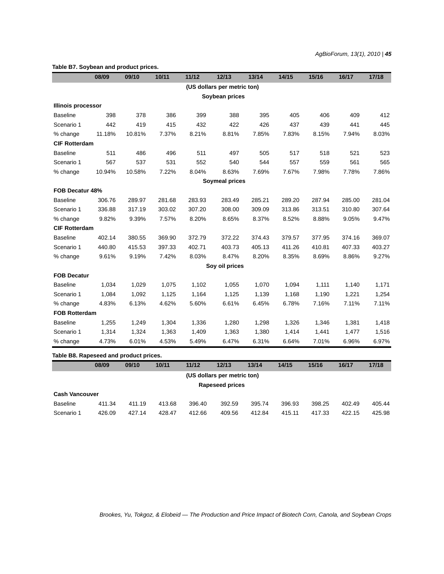## **Table B7. Soybean and product prices. 08/09 09/10 10/11 11/12 12/13 13/14 14/15 15/16 16/17 17/18 (US dollars per metric ton) Soybean prices Illinois processor** Baseline 398 378 386 399 388 395 405 406 409 412 Scenario 1 442 419 415 432 422 426 437 439 441 445 % change 11.18% 10.81% 7.37% 8.21% 8.81% 7.85% 7.83% 8.15% 7.94% 8.03% **CIF Rotterdam** Baseline 511 486 496 511 497 505 517 518 521 523 Scenario 1 567 537 531 552 540 544 557 559 561 565 % change 10.94% 10.58% 7.22% 8.04% 8.63% 7.69% 7.67% 7.98% 7.78% 7.86%  **Soymeal prices FOB Decatur 48%** Baseline 306.76 289.97 281.68 283.93 283.49 285.21 289.20 287.94 285.00 281.04 Scenario 1 336.88 317.19 303.02 307.20 308.00 309.09 313.86 313.51 310.80 307.64 % change 9.82% 9.39% 7.57% 8.20% 8.65% 8.37% 8.52% 8.88% 9.05% 9.47% **CIF Rotterdam** Baseline 402.14 380.55 369.90 372.79 372.22 374.43 379.57 377.95 374.16 369.07 Scenario 1 440.80 415.53 397.33 402.71 403.73 405.13 411.26 410.81 407.33 403.27 % change 9.61% 9.19% 7.42% 8.03% 8.47% 8.20% 8.35% 8.69% 8.86% 9.27%  **Soy oil prices FOB Decatur** Baseline 1,034 1,029 1,075 1,102 1,055 1,070 1,094 1,111 1,140 1,171 Scenario 1 1,084 1,092 1,125 1,164 1,125 1,139 1,168 1,190 1,221 1,254 % change 4.83% 6.13% 4.62% 5.60% 6.61% 6.45% 6.78% 7.16% 7.11% 7.11% **FOB Rotterdam** Baseline 1,255 1,249 1,304 1,336 1,280 1,298 1,326 1,346 1,381 1,418 Scenario 1 1,314 1,324 1,363 1,409 1,363 1,380 1,414 1,441 1,477 1,516 % change 4.73% 6.01% 4.53% 5.49% 6.47% 6.31% 6.64% 7.01% 6.96% 6.97% **Table B8. Rapeseed and product prices. 08/09 09/10 10/11 11/12 12/13 13/14 14/15 15/16 16/17 17/18 (US dollars per metric ton)**

**Rapeseed prices**

| <b>Cash Vancouver</b> |        |        |        |        |        |        |        |        |        |        |  |  |  |
|-----------------------|--------|--------|--------|--------|--------|--------|--------|--------|--------|--------|--|--|--|
| Baseline              | 411.34 | 411.19 | 413.68 | 396.40 | 392.59 | 395.74 | 396.93 | 398.25 | 402.49 | 405.44 |  |  |  |
| Scenario 1            | 426.09 | 427.14 | 428.47 | 412.66 | 409.56 | 412.84 | 415.11 | 417.33 | 422.15 | 425.98 |  |  |  |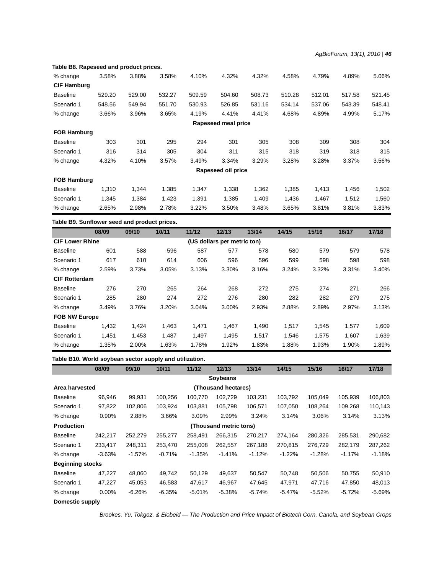## % change 3.58% 3.88% 3.58% 4.10% 4.32% 4.32% 4.58% 4.79% 4.89% 5.06% **CIF Hamburg** Baseline 529.20 529.00 532.27 509.59 504.60 508.73 510.28 512.01 517.58 521.45 Scenario 1 548.56 549.94 551.70 530.93 526.85 531.16 534.14 537.06 543.39 548.41 % change 3.66% 3.96% 3.65% 4.19% 4.41% 4.41% 4.68% 4.89% 4.99% 5.17% **Rapeseed meal price FOB Hamburg** Baseline 303 301 295 294 301 305 308 309 308 304 Scenario 1 316 314 305 304 311 315 318 319 318 315 % change 4.32% 4.10% 3.57% 3.49% 3.34% 3.29% 3.28% 3.28% 3.37% 3.56% **Rapeseed oil price FOB Hamburg** Baseline 1,310 1,344 1,385 1,347 1,338 1,362 1,385 1,413 1,456 1,502 Scenario 1 1,345 1,384 1,423 1,391 1,385 1,409 1,436 1,467 1,512 1,560 % change 2.65% 2.98% 2.78% 3.22% 3.50% 3.48% 3.65% 3.81% 3.81% 3.83% **Table B8. Rapeseed and product prices.**

#### **Table B9. Sunflower seed and product prices.**

|                        | 08/09 | 09/10 | 10/11 | 11/12 | 12/13                       | 13/14 | 14/15 | 15/16 | 16/17 | 17/18 |
|------------------------|-------|-------|-------|-------|-----------------------------|-------|-------|-------|-------|-------|
| <b>CIF Lower Rhine</b> |       |       |       |       | (US dollars per metric ton) |       |       |       |       |       |
| <b>Baseline</b>        | 601   | 588   | 596   | 587   | 577                         | 578   | 580   | 579   | 579   | 578   |
| Scenario 1             | 617   | 610   | 614   | 606   | 596                         | 596   | 599   | 598   | 598   | 598   |
| % change               | 2.59% | 3.73% | 3.05% | 3.13% | 3.30%                       | 3.16% | 3.24% | 3.32% | 3.31% | 3.40% |
| <b>CIF Rotterdam</b>   |       |       |       |       |                             |       |       |       |       |       |
| <b>Baseline</b>        | 276   | 270   | 265   | 264   | 268                         | 272   | 275   | 274   | 271   | 266   |
| Scenario 1             | 285   | 280   | 274   | 272   | 276                         | 280   | 282   | 282   | 279   | 275   |
| % change               | 3.49% | 3.76% | 3.20% | 3.04% | 3.00%                       | 2.93% | 2.88% | 2.89% | 2.97% | 3.13% |
| <b>FOB NW Europe</b>   |       |       |       |       |                             |       |       |       |       |       |
| <b>Baseline</b>        | 1.432 | 1,424 | 1.463 | 1.471 | 1.467                       | 1.490 | 1,517 | 1.545 | 1,577 | 1,609 |
| Scenario 1             | 1.451 | 1,453 | 1,487 | 1,497 | 1,495                       | 1,517 | 1,546 | 1,575 | 1.607 | 1,639 |
| % change               | 1.35% | 2.00% | 1.63% | 1.78% | 1.92%                       | 1.83% | 1.88% | 1.93% | 1.90% | 1.89% |

#### **Table B10. World soybean sector supply and utilization.**

|                         | 08/09    | 09/10     | 10/11    | 11/12    | 12/13                  | 13/14    | 14/15    | 15/16    | 16/17     | 17/18    |
|-------------------------|----------|-----------|----------|----------|------------------------|----------|----------|----------|-----------|----------|
|                         |          |           |          |          | Soybeans               |          |          |          |           |          |
| Area harvested          |          |           |          |          | (Thousand hectares)    |          |          |          |           |          |
| <b>Baseline</b>         | 96,946   | 99,931    | 100,256  | 100,770  | 102,729                | 103,231  | 103,792  | 105,049  | 105,939   | 106,803  |
| Scenario 1              | 97,822   | 102,806   | 103,924  | 103,881  | 105.798                | 106,571  | 107,050  | 108,264  | 109,268   | 110,143  |
| % change                | 0.90%    | 2.88%     | 3.66%    | 3.09%    | 2.99%                  | 3.24%    | 3.14%    | 3.06%    | 3.14%     | 3.13%    |
| <b>Production</b>       |          |           |          |          | (Thousand metric tons) |          |          |          |           |          |
| <b>Baseline</b>         | 242,217  | 252,279   | 255,277  | 258,491  | 266,315                | 270,217  | 274,164  | 280,326  | 285,531   | 290,682  |
| Scenario 1              | 233,417  | 248,311   | 253,470  | 255,008  | 262,557                | 267,188  | 270,815  | 276,729  | 282,179   | 287,262  |
| % change                | $-3.63%$ | $-1.57\%$ | $-0.71%$ | $-1.35%$ | $-1.41%$               | $-1.12%$ | $-1.22%$ | $-1.28%$ | $-1.17\%$ | $-1.18%$ |
| <b>Beginning stocks</b> |          |           |          |          |                        |          |          |          |           |          |
| <b>Baseline</b>         | 47,227   | 48,060    | 49,742   | 50,129   | 49,637                 | 50,547   | 50,748   | 50,506   | 50,755    | 50,910   |
| Scenario 1              | 47,227   | 45,053    | 46,583   | 47,617   | 46,967                 | 47,645   | 47,971   | 47,716   | 47,850    | 48,013   |
| % change                | $0.00\%$ | -6.26%    | -6.35%   | $-5.01%$ | $-5.38%$               | $-5.74%$ | -5.47%   | $-5.52%$ | $-5.72\%$ | $-5.69%$ |
| Domestic supply         |          |           |          |          |                        |          |          |          |           |          |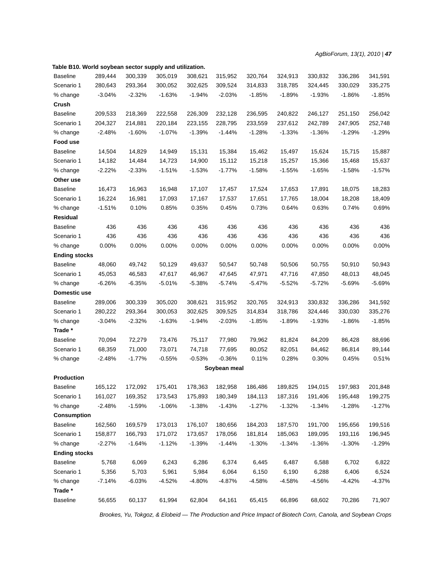| <b>Baseline</b>      | 289,444  | 300,339  | 305,019  | 308,621  | 315,952      | 320,764  | 324,913  | 330,832  | 336,286  | 341,591  |
|----------------------|----------|----------|----------|----------|--------------|----------|----------|----------|----------|----------|
| Scenario 1           | 280,643  | 293,364  | 300,052  | 302,625  | 309,524      | 314,833  | 318,785  | 324,445  | 330,029  | 335,275  |
| % change             | $-3.04%$ | $-2.32%$ | $-1.63%$ | $-1.94%$ | $-2.03%$     | $-1.85%$ | $-1.89%$ | $-1.93%$ | $-1.86%$ | $-1.85%$ |
| Crush                |          |          |          |          |              |          |          |          |          |          |
| <b>Baseline</b>      | 209,533  | 218,369  | 222,558  | 226,309  | 232,128      | 236,595  | 240,822  | 246,127  | 251,150  | 256,042  |
| Scenario 1           | 204,327  | 214,881  | 220,184  | 223,155  | 228,795      | 233,559  | 237,612  | 242,789  | 247,905  | 252,748  |
| % change             | $-2.48%$ | $-1.60%$ | $-1.07%$ | $-1.39%$ | $-1.44%$     | $-1.28%$ | -1.33%   | $-1.36%$ | $-1.29%$ | $-1.29%$ |
| Food use             |          |          |          |          |              |          |          |          |          |          |
| <b>Baseline</b>      | 14,504   | 14,829   | 14,949   | 15,131   | 15,384       | 15,462   | 15,497   | 15,624   | 15,715   | 15,887   |
| Scenario 1           | 14,182   | 14,484   | 14,723   | 14,900   | 15,112       | 15,218   | 15,257   | 15,366   | 15,468   | 15,637   |
| % change             | $-2.22%$ | $-2.33%$ | $-1.51%$ | $-1.53%$ | $-1.77%$     | $-1.58%$ | $-1.55%$ | $-1.65%$ | $-1.58%$ | $-1.57%$ |
| Other use            |          |          |          |          |              |          |          |          |          |          |
| <b>Baseline</b>      | 16,473   | 16,963   | 16,948   | 17,107   | 17,457       | 17,524   | 17,653   | 17,891   | 18,075   | 18,283   |
| Scenario 1           | 16,224   | 16,981   | 17,093   | 17,167   | 17,537       | 17,651   | 17,765   | 18,004   | 18,208   | 18,409   |
| % change             | $-1.51%$ | 0.10%    | 0.85%    | 0.35%    | 0.45%        | 0.73%    | 0.64%    | 0.63%    | 0.74%    | 0.69%    |
| Residual             |          |          |          |          |              |          |          |          |          |          |
| <b>Baseline</b>      | 436      | 436      | 436      | 436      | 436          | 436      | 436      | 436      | 436      | 436      |
| Scenario 1           | 436      | 436      | 436      | 436      | 436          | 436      | 436      | 436      | 436      | 436      |
| % change             | 0.00%    | 0.00%    | 0.00%    | 0.00%    | 0.00%        | 0.00%    | 0.00%    | 0.00%    | 0.00%    | 0.00%    |
| <b>Ending stocks</b> |          |          |          |          |              |          |          |          |          |          |
| <b>Baseline</b>      | 48,060   | 49,742   | 50,129   | 49,637   | 50,547       | 50,748   | 50,506   | 50,755   | 50,910   | 50,943   |
| Scenario 1           | 45,053   | 46,583   | 47,617   | 46,967   | 47,645       | 47,971   | 47,716   | 47,850   | 48,013   | 48,045   |
| % change             | $-6.26%$ | $-6.35%$ | $-5.01%$ | $-5.38%$ | $-5.74%$     | $-5.47%$ | $-5.52%$ | $-5.72%$ | $-5.69%$ | $-5.69%$ |
| Domestic use         |          |          |          |          |              |          |          |          |          |          |
| <b>Baseline</b>      | 289,006  | 300,339  | 305,020  | 308,621  | 315,952      | 320,765  | 324,913  | 330,832  | 336,286  | 341,592  |
| Scenario 1           | 280,222  | 293,364  | 300,053  | 302,625  | 309,525      | 314,834  | 318,786  | 324,446  | 330,030  | 335,276  |
| % change             | $-3.04%$ | $-2.32%$ | $-1.63%$ | $-1.94%$ | $-2.03%$     | $-1.85%$ | $-1.89%$ | $-1.93%$ | $-1.86%$ | $-1.85%$ |
| Trade*               |          |          |          |          |              |          |          |          |          |          |
| <b>Baseline</b>      | 70,094   | 72,279   | 73,476   | 75,117   | 77,980       | 79,962   | 81,824   | 84,209   | 86,428   | 88,696   |
| Scenario 1           | 68,359   | 71,000   | 73,071   | 74,718   | 77,695       | 80,052   | 82,051   | 84,462   | 86,814   | 89,144   |
| % change             | $-2.48%$ | $-1.77%$ | $-0.55%$ | $-0.53%$ | $-0.36%$     | 0.11%    | 0.28%    | 0.30%    | 0.45%    | 0.51%    |
|                      |          |          |          |          | Soybean meal |          |          |          |          |          |
| Production           |          |          |          |          |              |          |          |          |          |          |
| <b>Baseline</b>      | 165,122  | 172,092  | 175,401  | 178,363  | 182,958      | 186,486  | 189,825  | 194,015  | 197,983  | 201,848  |
| Scenario 1           | 161,027  | 169,352  | 173,543  | 175,893  | 180,349      | 184,113  | 187,316  | 191,406  | 195,448  | 199,275  |
| % change             | $-2.48%$ | $-1.59%$ | $-1.06%$ | $-1.38%$ | $-1.43%$     | $-1.27%$ | $-1.32%$ | $-1.34%$ | $-1.28%$ | $-1.27%$ |
| <b>Consumption</b>   |          |          |          |          |              |          |          |          |          |          |
| <b>Baseline</b>      | 162,560  | 169,579  | 173,013  | 176,107  | 180,656      | 184,203  | 187,570  | 191,700  | 195,656  | 199,516  |
| Scenario 1           | 158,877  | 166,793  | 171,072  | 173,657  | 178,056      | 181,814  | 185,063  | 189,095  | 193,116  | 196,945  |
| % change             | $-2.27%$ | $-1.64%$ | $-1.12%$ | $-1.39%$ | $-1.44%$     | $-1.30%$ | $-1.34%$ | $-1.36%$ | $-1.30%$ | $-1.29%$ |
| <b>Ending stocks</b> |          |          |          |          |              |          |          |          |          |          |
| <b>Baseline</b>      | 5,768    | 6,069    | 6,243    | 6,286    | 6,374        | 6,445    | 6,487    | 6,588    | 6,702    | 6,822    |
| Scenario 1           | 5,356    | 5,703    | 5,961    | 5,984    | 6,064        | 6,150    | 6,190    | 6,288    | 6,406    | 6,524    |
| % change             | $-7.14%$ | $-6.03%$ | $-4.52%$ | $-4.80%$ | $-4.87%$     | $-4.58%$ | $-4.58%$ | $-4.56%$ | $-4.42%$ | $-4.37%$ |
| Trade *              |          |          |          |          |              |          |          |          |          |          |
| <b>Baseline</b>      | 56,655   | 60,137   | 61,994   | 62,804   | 64,161       | 65,415   | 66,896   | 68,602   | 70,286   | 71,907   |

**Table B10. World soybean sector supply and utilization.**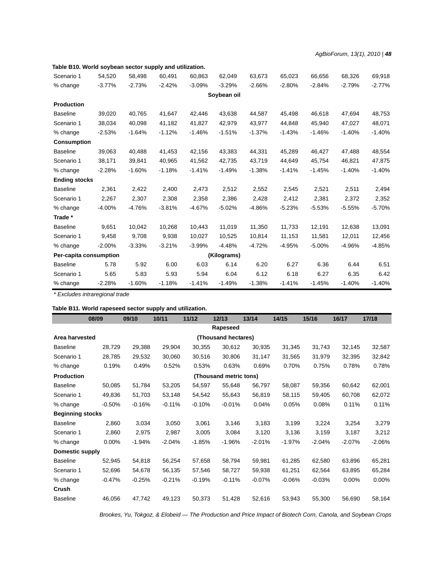*AgBioForum, 13(1), 2010 | 48*

Scenario 1 54,520 58,498 60,491 60,863 62,049 63,673 65,023 66,656 68,326 69,918 % change -3.77% -2.73% -2.42% -3.09% -2.66% -2.80% -2.84% -2.79% -2.77%  **Soybean oil Production** Baseline 39,020 40,765 41,647 42,446 43,638 44,587 45,498 46,618 47,694 48,753 Scenario 1 38,034 40,098 41,182 41,827 42,979 43,977 44,848 45,940 47,027 48,071 % change -2.53% -1.64% -1.12% -1.46% -1.51% -1.37% -1.43% -1.40% -1.40% -1.40% **Consumption** Baseline 39,063 40,488 41,453 42,156 43,383 44,331 45,289 46,427 47,488 48,554 Scenario 1 38,171 39,841 40,965 41,562 42,735 43,719 44,649 45,754 46,821 47,875 % change -2.28% -1.60% -1.18% -1.41% -1.49% -1.38% -1.41% -1.45% -1.40% -1.40% **Ending stocks** Baseline 2,361 2,422 2,400 2,473 2,512 2,552 2,545 2,521 2,511 2,494 Scenario 1 2,267 2,307 2,308 2,358 2,386 2,428 2,412 2,381 2,372 2,352 % change -4.00% -4.76% -3.81% -4.67% -5.02% -4.86% -5.23% -5.53% -5.55% -5.70% **Trade \*** Baseline 9,651 10,042 10,268 10,443 11,019 11,350 11,733 12,191 12,638 13,091 Scenario 1 9,458 9,708 9,938 10,027 10,525 10,814 11,153 11,581 12,011 12,456 % change -2.00% -3.33% -3.21% -3.99% -4.48% -4.72% -4.95% -5.00% -4.96% -4.85% **Per-capita consumption (Kilograms)** Baseline 5.78 5.92 6.00 6.03 6.14 6.20 6.27 6.36 6.44 6.51 Scenario 1 5.65 5.83 5.93 5.94 6.04 6.12 6.18 6.27 6.35 6.42 % change -2.28% -1.60% -1.18% -1.41% -1.49% -1.38% -1.41% -1.45% -1.40% -1.40%

*\* Excludes intraregional trade*

#### **Table B11. World rapeseed sector supply and utilization.**

**Table B10. World soybean sector supply and utilization.**

|                                       | 08/09    | 09/10    | 10/11    | 11/12    | 12/13                  | 13/14    | 14/15    | 15/16    | 16/17    | 17/18    |  |
|---------------------------------------|----------|----------|----------|----------|------------------------|----------|----------|----------|----------|----------|--|
|                                       |          |          |          |          | Rapeseed               |          |          |          |          |          |  |
| (Thousand hectares)<br>Area harvested |          |          |          |          |                        |          |          |          |          |          |  |
| <b>Baseline</b>                       | 28,729   | 29,388   | 29,904   | 30,355   | 30,612                 | 30,935   | 31,345   | 31,743   | 32,145   | 32,587   |  |
| Scenario 1                            | 28,785   | 29,532   | 30,060   | 30,516   | 30,806                 | 31,147   | 31,565   | 31,979   | 32,395   | 32,842   |  |
| % change                              | 0.19%    | 0.49%    | 0.52%    | 0.53%    | 0.63%                  | 0.69%    | 0.70%    | 0.75%    | 0.78%    | 0.78%    |  |
| <b>Production</b>                     |          |          |          |          | (Thousand metric tons) |          |          |          |          |          |  |
| <b>Baseline</b>                       | 50,085   | 51,784   | 53,205   | 54,597   | 55,648                 | 56,797   | 58,087   | 59,356   | 60,642   | 62,001   |  |
| Scenario 1                            | 49,836   | 51,703   | 53,148   | 54,542   | 55,643                 | 56,819   | 58,115   | 59,405   | 60,708   | 62,072   |  |
| % change                              | $-0.50%$ | $-0.16%$ | $-0.11%$ | $-0.10%$ | $-0.01%$               | 0.04%    | 0.05%    | 0.08%    | 0.11%    | 0.11%    |  |
| <b>Beginning stocks</b>               |          |          |          |          |                        |          |          |          |          |          |  |
| <b>Baseline</b>                       | 2,860    | 3,034    | 3,050    | 3,061    | 3,146                  | 3,183    | 3,199    | 3,224    | 3,254    | 3,279    |  |
| Scenario 1                            | 2,860    | 2,975    | 2,987    | 3,005    | 3,084                  | 3,120    | 3,136    | 3,159    | 3,187    | 3,212    |  |
| % change                              | 0.00%    | $-1.94%$ | $-2.04%$ | $-1.85%$ | $-1.96%$               | $-2.01%$ | $-1.97%$ | $-2.04%$ | $-2.07%$ | $-2.06%$ |  |
| <b>Domestic supply</b>                |          |          |          |          |                        |          |          |          |          |          |  |
| <b>Baseline</b>                       | 52,945   | 54,818   | 56,254   | 57,658   | 58,794                 | 59,981   | 61,285   | 62,580   | 63,896   | 65,281   |  |
| Scenario 1                            | 52,696   | 54,678   | 56,135   | 57,546   | 58,727                 | 59,938   | 61,251   | 62,564   | 63,895   | 65,284   |  |
| % change                              | $-0.47%$ | $-0.25%$ | $-0.21%$ | $-0.19%$ | $-0.11%$               | $-0.07%$ | $-0.06%$ | $-0.03%$ | 0.00%    | 0.00%    |  |
| Crush                                 |          |          |          |          |                        |          |          |          |          |          |  |
| <b>Baseline</b>                       | 46,056   | 47,742   | 49,123   | 50,373   | 51,428                 | 52,616   | 53,943   | 55,300   | 56,690   | 58,164   |  |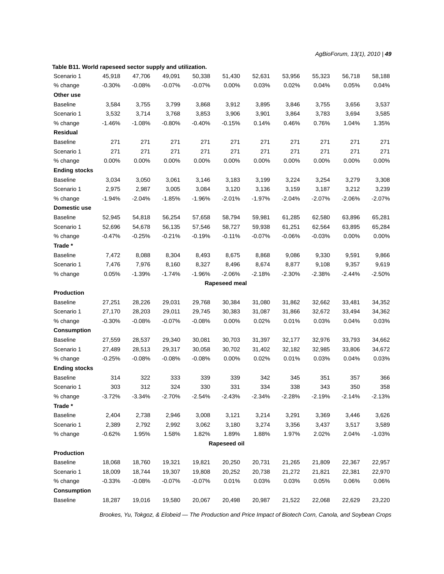| rable DTT. WOHG rapeseed sector supply and utilization. |          |          |           |          |               |          |          |          |          |          |
|---------------------------------------------------------|----------|----------|-----------|----------|---------------|----------|----------|----------|----------|----------|
| Scenario 1                                              | 45,918   | 47,706   | 49,091    | 50,338   | 51,430        | 52,631   | 53,956   | 55,323   | 56,718   | 58,188   |
| % change                                                | $-0.30%$ | $-0.08%$ | $-0.07%$  | $-0.07%$ | 0.00%         | 0.03%    | 0.02%    | 0.04%    | 0.05%    | 0.04%    |
| Other use                                               |          |          |           |          |               |          |          |          |          |          |
| <b>Baseline</b>                                         | 3,584    | 3,755    | 3,799     | 3,868    | 3,912         | 3,895    | 3,846    | 3,755    | 3,656    | 3,537    |
| Scenario 1                                              | 3,532    | 3,714    | 3,768     | 3,853    | 3,906         | 3,901    | 3,864    | 3,783    | 3,694    | 3,585    |
| % change                                                | $-1.46%$ | $-1.08%$ | $-0.80%$  | $-0.40%$ | $-0.15%$      | 0.14%    | 0.46%    | 0.76%    | 1.04%    | 1.35%    |
| Residual                                                |          |          |           |          |               |          |          |          |          |          |
| <b>Baseline</b>                                         | 271      | 271      | 271       | 271      | 271           | 271      | 271      | 271      | 271      | 271      |
| Scenario 1                                              | 271      | 271      | 271       | 271      | 271           | 271      | 271      | 271      | 271      | 271      |
| % change                                                | 0.00%    | 0.00%    | 0.00%     | 0.00%    | 0.00%         | 0.00%    | 0.00%    | 0.00%    | 0.00%    | 0.00%    |
| <b>Ending stocks</b>                                    |          |          |           |          |               |          |          |          |          |          |
| <b>Baseline</b>                                         | 3,034    | 3,050    | 3,061     | 3,146    | 3,183         | 3,199    | 3,224    | 3,254    | 3,279    | 3,308    |
| Scenario 1                                              | 2,975    | 2,987    | 3,005     | 3,084    | 3,120         | 3,136    | 3,159    | 3,187    | 3,212    | 3,239    |
| % change                                                | $-1.94%$ | $-2.04%$ | $-1.85%$  | $-1.96%$ | $-2.01%$      | $-1.97%$ | $-2.04%$ | $-2.07%$ | $-2.06%$ | $-2.07%$ |
| Domestic use                                            |          |          |           |          |               |          |          |          |          |          |
| <b>Baseline</b>                                         | 52,945   | 54,818   | 56,254    | 57,658   | 58,794        | 59,981   | 61,285   | 62,580   | 63,896   | 65,281   |
| Scenario 1                                              | 52,696   | 54,678   | 56,135    | 57,546   | 58,727        | 59,938   | 61,251   | 62,564   | 63,895   | 65,284   |
| % change                                                | $-0.47%$ | $-0.25%$ | $-0.21%$  | $-0.19%$ | $-0.11%$      | $-0.07%$ | $-0.06%$ | $-0.03%$ | 0.00%    | 0.00%    |
| Trade*                                                  |          |          |           |          |               |          |          |          |          |          |
| <b>Baseline</b>                                         | 7,472    | 8,088    | 8,304     | 8,493    | 8,675         | 8,868    | 9,086    | 9,330    | 9,591    | 9,866    |
| Scenario 1                                              | 7,476    | 7,976    | 8,160     | 8,327    | 8,496         | 8,674    | 8,877    | 9,108    | 9,357    | 9,619    |
| % change                                                | 0.05%    | $-1.39%$ | $-1.74%$  | $-1.96%$ | $-2.06%$      | $-2.18%$ | $-2.30%$ | $-2.38%$ | $-2.44%$ | $-2.50%$ |
|                                                         |          |          |           |          | Rapeseed meal |          |          |          |          |          |
| Production                                              |          |          |           |          |               |          |          |          |          |          |
| <b>Baseline</b>                                         | 27,251   | 28,226   | 29,031    | 29,768   | 30,384        | 31,080   | 31,862   | 32,662   | 33,481   | 34,352   |
| Scenario 1                                              | 27,170   | 28,203   | 29,011    | 29,745   | 30,383        | 31,087   | 31,866   | 32,672   | 33,494   | 34,362   |
| % change                                                | $-0.30%$ | $-0.08%$ | $-0.07\%$ | $-0.08%$ | 0.00%         | 0.02%    | 0.01%    | 0.03%    | 0.04%    | 0.03%    |
| <b>Consumption</b>                                      |          |          |           |          |               |          |          |          |          |          |
| <b>Baseline</b>                                         | 27,559   | 28,537   | 29,340    | 30,081   | 30,703        | 31,397   | 32,177   | 32,976   | 33,793   | 34,662   |
| Scenario 1                                              | 27,489   | 28,513   | 29,317    | 30,058   | 30,702        | 31,402   | 32,182   | 32,985   | 33,806   | 34,672   |
| % change                                                | $-0.25%$ | $-0.08%$ | $-0.08%$  | $-0.08%$ | 0.00%         | 0.02%    | 0.01%    | 0.03%    | 0.04%    | 0.03%    |
| <b>Ending stocks</b>                                    |          |          |           |          |               |          |          |          |          |          |
| <b>Baseline</b>                                         | 314      | 322      | 333       | 339      | 339           | 342      | 345      | 351      | 357      | 366      |
| Scenario 1                                              | 303      | 312      | 324       | 330      | 331           | 334      | 338      | 343      | 350      | 358      |
| % change                                                | $-3.72%$ | $-3.34%$ | $-2.70%$  | $-2.54%$ | $-2.43%$      | $-2.34%$ | $-2.28%$ | $-2.19%$ | $-2.14%$ | $-2.13%$ |
| Trade*                                                  |          |          |           |          |               |          |          |          |          |          |
| <b>Baseline</b>                                         | 2,404    | 2,738    | 2,946     | 3,008    | 3,121         | 3,214    | 3,291    | 3,369    | 3,446    | 3,626    |
| Scenario 1                                              | 2,389    | 2,792    | 2,992     | 3,062    | 3,180         | 3,274    | 3,356    | 3,437    | 3,517    | 3,589    |
| % change                                                | $-0.62%$ | 1.95%    | 1.58%     | 1.82%    | 1.89%         | 1.88%    | 1.97%    | 2.02%    | 2.04%    | $-1.03%$ |
|                                                         |          |          |           |          | Rapeseed oil  |          |          |          |          |          |
| <b>Production</b>                                       |          |          |           |          |               |          |          |          |          |          |
| <b>Baseline</b>                                         | 18,068   | 18,760   | 19,321    | 19,821   | 20,250        | 20,731   | 21,265   | 21,809   | 22,367   | 22,957   |
| Scenario 1                                              | 18,009   | 18,744   | 19,307    | 19,808   | 20,252        | 20,738   | 21,272   | 21,821   | 22,381   | 22,970   |
| % change                                                | $-0.33%$ | $-0.08%$ | $-0.07%$  | $-0.07%$ | 0.01%         | 0.03%    | 0.03%    | 0.05%    | 0.06%    | 0.06%    |
| <b>Consumption</b>                                      |          |          |           |          |               |          |          |          |          |          |
| <b>Baseline</b>                                         | 18,287   | 19,016   | 19,580    | 20,067   | 20,498        | 20,987   | 21,522   | 22,068   | 22,629   | 23,220   |
|                                                         |          |          |           |          |               |          |          |          |          |          |

**Table B11. World rapeseed sector supply and utilization.**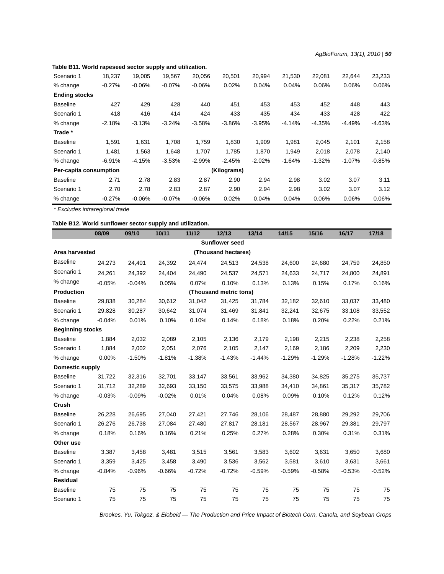| Scenario 1             | 18,237   | 19,005   | 19,567   | 20,056   | 20,501      | 20,994   | 21,530   | 22,081   | 22,644   | 23,233   |
|------------------------|----------|----------|----------|----------|-------------|----------|----------|----------|----------|----------|
| % change               | $-0.27%$ | $-0.06%$ | $-0.07%$ | $-0.06%$ | 0.02%       | 0.04%    | 0.04%    | 0.06%    | 0.06%    | 0.06%    |
| <b>Ending stocks</b>   |          |          |          |          |             |          |          |          |          |          |
| <b>Baseline</b>        | 427      | 429      | 428      | 440      | 451         | 453      | 453      | 452      | 448      | 443      |
| Scenario 1             | 418      | 416      | 414      | 424      | 433         | 435      | 434      | 433      | 428      | 422      |
| % change               | $-2.18%$ | $-3.13%$ | $-3.24%$ | $-3.58%$ | $-3.86%$    | $-3.95%$ | $-4.14%$ | $-4.35%$ | $-4.49%$ | $-4.63%$ |
| Trade *                |          |          |          |          |             |          |          |          |          |          |
| <b>Baseline</b>        | 1,591    | 1,631    | 1.708    | 1,759    | 1,830       | 1,909    | 1,981    | 2,045    | 2,101    | 2,158    |
| Scenario 1             | 1.481    | 1.563    | 1,648    | 1,707    | 1.785       | 1.870    | 1,949    | 2,018    | 2,078    | 2,140    |
| % change               | $-6.91%$ | $-4.15%$ | $-3.53%$ | $-2.99%$ | $-2.45%$    | $-2.02%$ | $-1.64%$ | $-1.32%$ | $-1.07%$ | $-0.85%$ |
| Per-capita consumption |          |          |          |          | (Kilograms) |          |          |          |          |          |
| <b>Baseline</b>        | 2.71     | 2.78     | 2.83     | 2.87     | 2.90        | 2.94     | 2.98     | 3.02     | 3.07     | 3.11     |
| Scenario 1             | 2.70     | 2.78     | 2.83     | 2.87     | 2.90        | 2.94     | 2.98     | 3.02     | 3.07     | 3.12     |
| % change               | $-0.27%$ | $-0.06%$ | $-0.07%$ | $-0.06%$ | 0.02%       | 0.04%    | 0.04%    | 0.06%    | 0.06%    | 0.06%    |

**Table B11. World rapeseed sector supply and utilization.**

*\* Excludes intraregional trade*

## **Table B12. World sunflower sector supply and utilization.**

|                         | 08/09    | 09/10    | 10/11    | 11/12    | 12/13                  | 13/14    | 14/15    | 15/16    | 16/17    | 17/18    |
|-------------------------|----------|----------|----------|----------|------------------------|----------|----------|----------|----------|----------|
|                         |          |          |          |          | <b>Sunflower seed</b>  |          |          |          |          |          |
| Area harvested          |          |          |          |          | (Thousand hectares)    |          |          |          |          |          |
| <b>Baseline</b>         | 24,273   | 24,401   | 24,392   | 24,474   | 24,513                 | 24,538   | 24,600   | 24,680   | 24,759   | 24,850   |
| Scenario 1              | 24,261   | 24,392   | 24,404   | 24,490   | 24,537                 | 24,571   | 24,633   | 24,717   | 24,800   | 24,891   |
| % change                | $-0.05%$ | $-0.04%$ | 0.05%    | 0.07%    | 0.10%                  | 0.13%    | 0.13%    | 0.15%    | 0.17%    | 0.16%    |
| <b>Production</b>       |          |          |          |          | (Thousand metric tons) |          |          |          |          |          |
| <b>Baseline</b>         | 29,838   | 30,284   | 30,612   | 31,042   | 31,425                 | 31,784   | 32,182   | 32,610   | 33,037   | 33,480   |
| Scenario 1              | 29,828   | 30,287   | 30,642   | 31,074   | 31,469                 | 31,841   | 32,241   | 32,675   | 33,108   | 33,552   |
| % change                | $-0.04%$ | 0.01%    | 0.10%    | 0.10%    | 0.14%                  | 0.18%    | 0.18%    | 0.20%    | 0.22%    | 0.21%    |
| <b>Beginning stocks</b> |          |          |          |          |                        |          |          |          |          |          |
| Baseline                | 1,884    | 2,032    | 2,089    | 2,105    | 2,136                  | 2,179    | 2,198    | 2,215    | 2,238    | 2,258    |
| Scenario 1              | 1,884    | 2,002    | 2,051    | 2,076    | 2,105                  | 2,147    | 2,169    | 2,186    | 2,209    | 2,230    |
| % change                | 0.00%    | $-1.50%$ | $-1.81%$ | $-1.38%$ | $-1.43%$               | $-1.44%$ | $-1.29%$ | $-1.29%$ | $-1.28%$ | $-1.22%$ |
| <b>Domestic supply</b>  |          |          |          |          |                        |          |          |          |          |          |
| <b>Baseline</b>         | 31,722   | 32,316   | 32,701   | 33,147   | 33,561                 | 33,962   | 34,380   | 34,825   | 35,275   | 35,737   |
| Scenario 1              | 31,712   | 32,289   | 32,693   | 33,150   | 33,575                 | 33,988   | 34,410   | 34,861   | 35,317   | 35,782   |
| % change                | $-0.03%$ | $-0.09%$ | $-0.02%$ | 0.01%    | 0.04%                  | 0.08%    | 0.09%    | 0.10%    | 0.12%    | 0.12%    |
| Crush                   |          |          |          |          |                        |          |          |          |          |          |
| Baseline                | 26,228   | 26,695   | 27,040   | 27,421   | 27,746                 | 28,106   | 28,487   | 28,880   | 29,292   | 29,706   |
| Scenario 1              | 26,276   | 26,738   | 27,084   | 27,480   | 27,817                 | 28,181   | 28,567   | 28,967   | 29,381   | 29,797   |
| % change                | 0.18%    | 0.16%    | 0.16%    | 0.21%    | 0.25%                  | 0.27%    | 0.28%    | 0.30%    | 0.31%    | 0.31%    |
| Other use               |          |          |          |          |                        |          |          |          |          |          |
| <b>Baseline</b>         | 3,387    | 3,458    | 3,481    | 3,515    | 3,561                  | 3,583    | 3,602    | 3,631    | 3,650    | 3,680    |
| Scenario 1              | 3,359    | 3,425    | 3.458    | 3,490    | 3,536                  | 3.562    | 3,581    | 3.610    | 3,631    | 3,661    |
| % change                | $-0.84%$ | $-0.96%$ | $-0.66%$ | $-0.72%$ | $-0.72%$               | $-0.59%$ | $-0.59%$ | $-0.58%$ | $-0.53%$ | $-0.52%$ |
| <b>Residual</b>         |          |          |          |          |                        |          |          |          |          |          |
| <b>Baseline</b>         | 75       | 75       | 75       | 75       | 75                     | 75       | 75       | 75       | 75       | 75       |
| Scenario 1              | 75       | 75       | 75       | 75       | 75                     | 75       | 75       | 75       | 75       | 75       |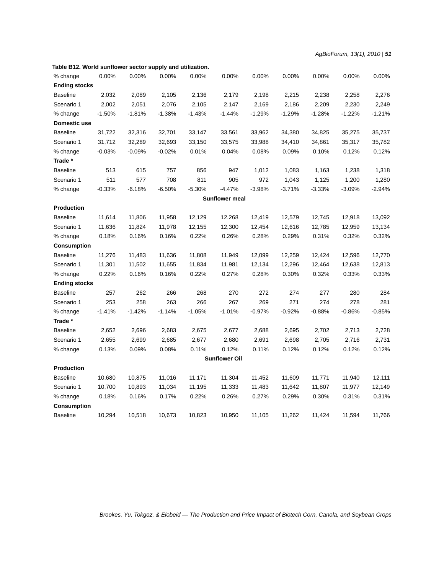| % change             | 0.00%    | 0.00%    | 0.00%    | 0.00%    | 0.00%                 | 0.00%    | 0.00%    | 0.00%    | 0.00%    | 0.00%    |
|----------------------|----------|----------|----------|----------|-----------------------|----------|----------|----------|----------|----------|
| <b>Ending stocks</b> |          |          |          |          |                       |          |          |          |          |          |
| <b>Baseline</b>      | 2,032    | 2,089    | 2,105    | 2,136    | 2,179                 | 2,198    | 2,215    | 2,238    | 2,258    | 2,276    |
| Scenario 1           | 2,002    | 2,051    | 2,076    | 2,105    | 2,147                 | 2,169    | 2,186    | 2,209    | 2,230    | 2,249    |
| % change             | $-1.50%$ | $-1.81%$ | $-1.38%$ | $-1.43%$ | $-1.44%$              | $-1.29%$ | $-1.29%$ | $-1.28%$ | $-1.22%$ | $-1.21%$ |
| Domestic use         |          |          |          |          |                       |          |          |          |          |          |
| <b>Baseline</b>      | 31,722   | 32,316   | 32,701   | 33,147   | 33,561                | 33,962   | 34,380   | 34,825   | 35,275   | 35,737   |
| Scenario 1           | 31,712   | 32,289   | 32,693   | 33,150   | 33,575                | 33,988   | 34,410   | 34,861   | 35,317   | 35,782   |
| % change             | $-0.03%$ | $-0.09%$ | $-0.02%$ | 0.01%    | 0.04%                 | 0.08%    | 0.09%    | 0.10%    | 0.12%    | 0.12%    |
| Trade*               |          |          |          |          |                       |          |          |          |          |          |
| <b>Baseline</b>      | 513      | 615      | 757      | 856      | 947                   | 1,012    | 1,083    | 1,163    | 1,238    | 1,318    |
| Scenario 1           | 511      | 577      | 708      | 811      | 905                   | 972      | 1,043    | 1,125    | 1,200    | 1,280    |
| % change             | $-0.33%$ | $-6.18%$ | $-6.50%$ | $-5.30%$ | $-4.47%$              | $-3.98%$ | $-3.71%$ | $-3.33%$ | $-3.09%$ | $-2.94%$ |
|                      |          |          |          |          | <b>Sunflower meal</b> |          |          |          |          |          |
| <b>Production</b>    |          |          |          |          |                       |          |          |          |          |          |
| <b>Baseline</b>      | 11,614   | 11,806   | 11,958   | 12,129   | 12,268                | 12,419   | 12,579   | 12,745   | 12,918   | 13,092   |
| Scenario 1           | 11,636   | 11,824   | 11,978   | 12,155   | 12,300                | 12,454   | 12,616   | 12,785   | 12,959   | 13,134   |
| % change             | 0.18%    | 0.16%    | 0.16%    | 0.22%    | 0.26%                 | 0.28%    | 0.29%    | 0.31%    | 0.32%    | 0.32%    |
| <b>Consumption</b>   |          |          |          |          |                       |          |          |          |          |          |
| <b>Baseline</b>      | 11,276   | 11,483   | 11,636   | 11,808   | 11,949                | 12,099   | 12,259   | 12,424   | 12,596   | 12,770   |
| Scenario 1           | 11,301   | 11,502   | 11,655   | 11,834   | 11,981                | 12,134   | 12,296   | 12,464   | 12,638   | 12,813   |
| % change             | 0.22%    | 0.16%    | 0.16%    | 0.22%    | 0.27%                 | 0.28%    | 0.30%    | 0.32%    | 0.33%    | 0.33%    |
| <b>Ending stocks</b> |          |          |          |          |                       |          |          |          |          |          |
| <b>Baseline</b>      | 257      | 262      | 266      | 268      | 270                   | 272      | 274      | 277      | 280      | 284      |
| Scenario 1           | 253      | 258      | 263      | 266      | 267                   | 269      | 271      | 274      | 278      | 281      |
| % change             | $-1.41%$ | $-1.42%$ | $-1.14%$ | $-1.05%$ | $-1.01%$              | $-0.97%$ | $-0.92%$ | $-0.88%$ | $-0.86%$ | $-0.85%$ |
| Trade*               |          |          |          |          |                       |          |          |          |          |          |
| <b>Baseline</b>      | 2,652    | 2,696    | 2,683    | 2,675    | 2,677                 | 2,688    | 2,695    | 2,702    | 2,713    | 2,728    |
| Scenario 1           | 2,655    | 2,699    | 2,685    | 2,677    | 2,680                 | 2,691    | 2,698    | 2,705    | 2,716    | 2,731    |
| % change             | 0.13%    | 0.09%    | 0.08%    | 0.11%    | 0.12%                 | 0.11%    | 0.12%    | 0.12%    | 0.12%    | 0.12%    |
|                      |          |          |          |          | <b>Sunflower Oil</b>  |          |          |          |          |          |
| <b>Production</b>    |          |          |          |          |                       |          |          |          |          |          |
| <b>Baseline</b>      | 10,680   | 10,875   | 11,016   | 11,171   | 11,304                | 11,452   | 11,609   | 11,771   | 11,940   | 12,111   |
| Scenario 1           | 10,700   | 10,893   | 11,034   | 11,195   | 11,333                | 11,483   | 11,642   | 11,807   | 11,977   | 12,149   |
| % change             | 0.18%    | 0.16%    | 0.17%    | 0.22%    | 0.26%                 | 0.27%    | 0.29%    | 0.30%    | 0.31%    | 0.31%    |
| <b>Consumption</b>   |          |          |          |          |                       |          |          |          |          |          |
| <b>Baseline</b>      | 10,294   | 10,518   | 10,673   | 10,823   | 10,950                | 11,105   | 11,262   | 11,424   | 11,594   | 11,766   |

**Table B12. World sunflower sector supply and utilization.**